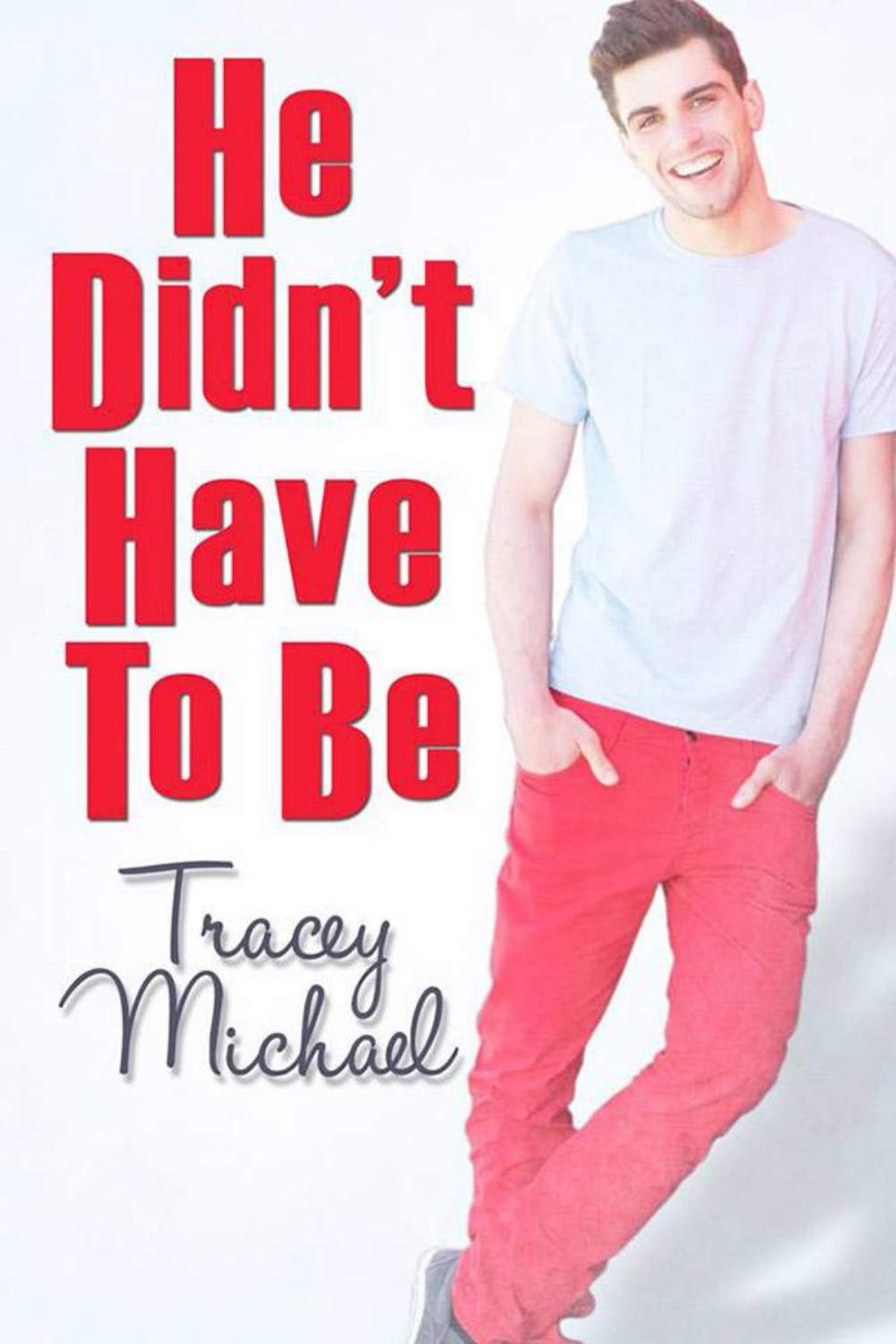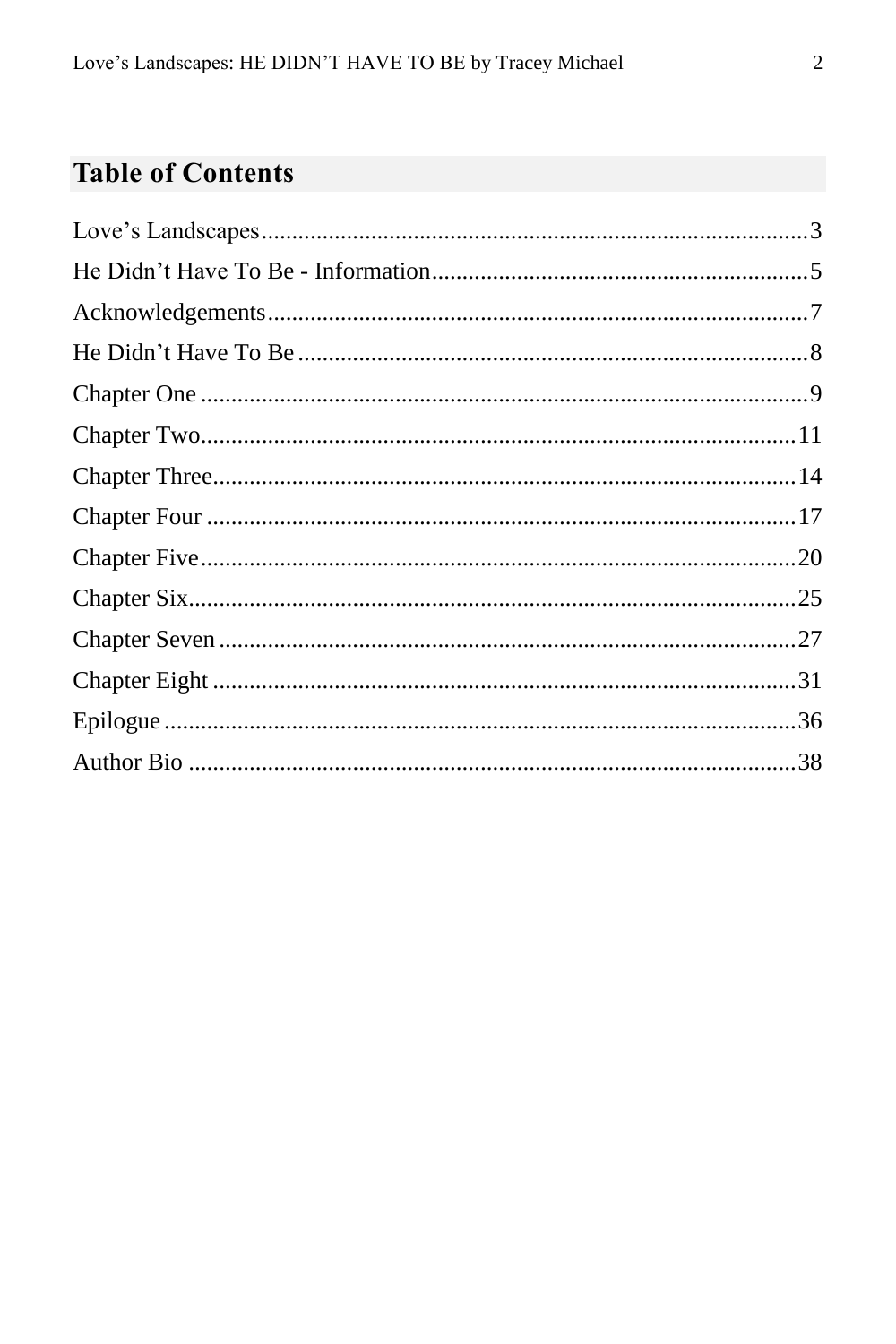## **Table of Contents**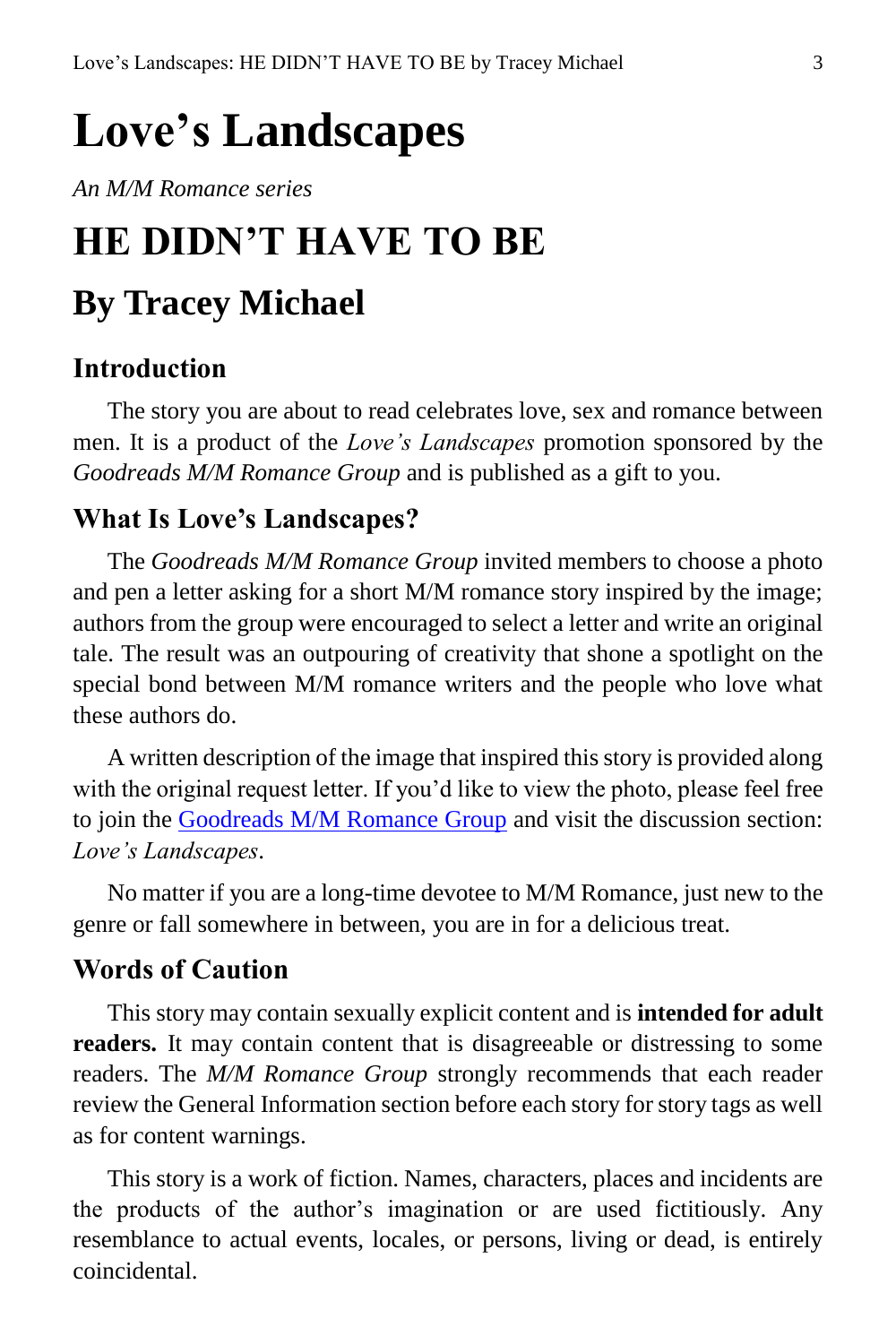# <span id="page-2-0"></span>**Love's Landscapes**

*An M/M Romance series*

# **HE DIDN'T HAVE TO BE By Tracey Michael**

#### **Introduction**

The story you are about to read celebrates love, sex and romance between men. It is a product of the *Love's Landscapes* promotion sponsored by the *Goodreads M/M Romance Group* and is published as a gift to you.

#### **What Is Love's Landscapes?**

The *Goodreads M/M Romance Group* invited members to choose a photo and pen a letter asking for a short M/M romance story inspired by the image; authors from the group were encouraged to select a letter and write an original tale. The result was an outpouring of creativity that shone a spotlight on the special bond between M/M romance writers and the people who love what these authors do.

A written description of the image that inspired this story is provided along with the original request letter. If you'd like to view the photo, please feel free to join the [Goodreads M/M Romance Group](http://www.goodreads.com/group/show/20149-m-m-romance) and visit the discussion section: *Love's Landscapes*.

No matter if you are a long-time devotee to M/M Romance, just new to the genre or fall somewhere in between, you are in for a delicious treat.

#### **Words of Caution**

This story may contain sexually explicit content and is **intended for adult readers.** It may contain content that is disagreeable or distressing to some readers. The *M/M Romance Group* strongly recommends that each reader review the General Information section before each story for story tags as well as for content warnings.

This story is a work of fiction. Names, characters, places and incidents are the products of the author's imagination or are used fictitiously. Any resemblance to actual events, locales, or persons, living or dead, is entirely coincidental.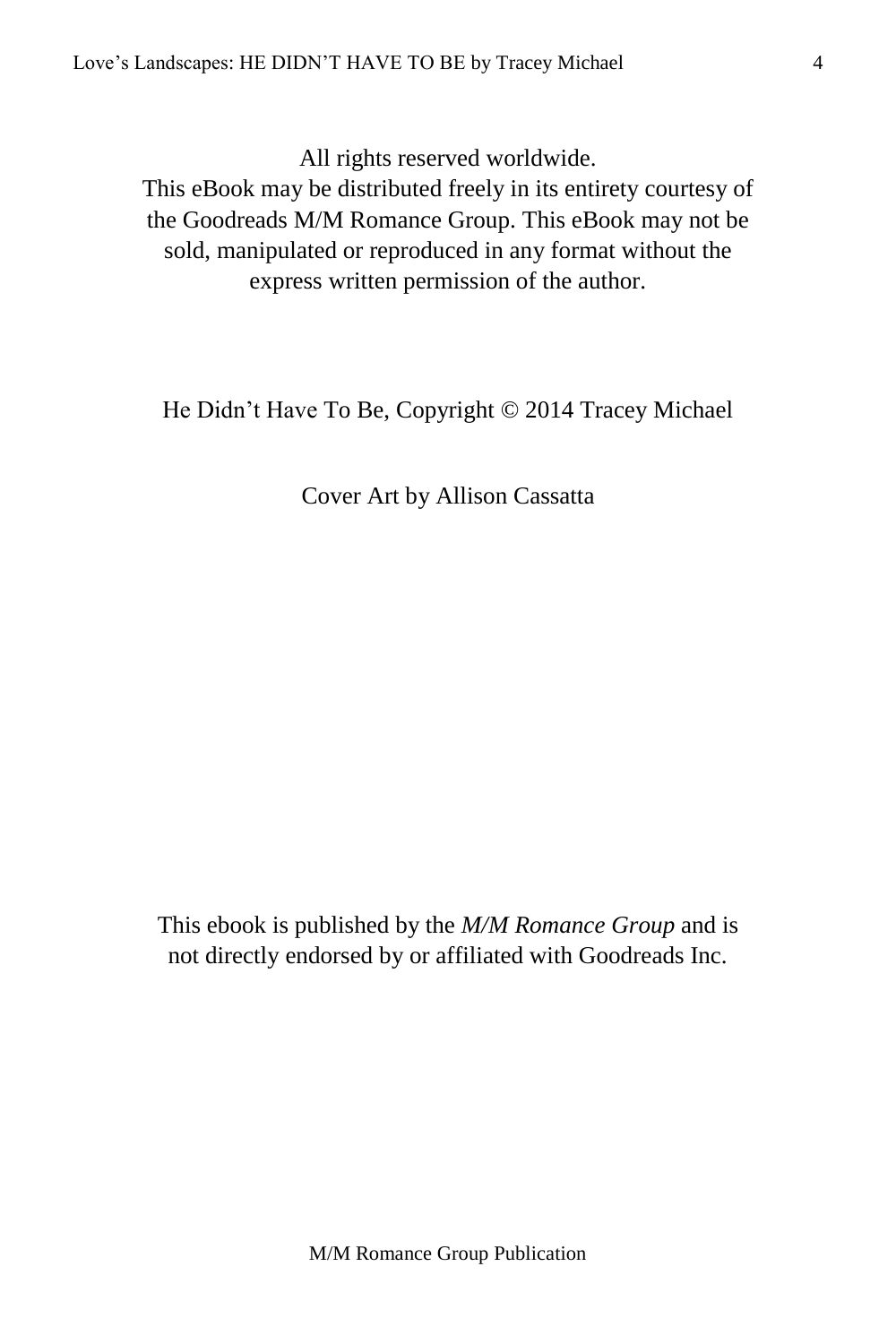All rights reserved worldwide.

This eBook may be distributed freely in its entirety courtesy of the Goodreads M/M Romance Group. This eBook may not be sold, manipulated or reproduced in any format without the express written permission of the author.

He Didn't Have To Be, Copyright © 2014 Tracey Michael

Cover Art by Allison Cassatta

This ebook is published by the *M/M Romance Group* and is not directly endorsed by or affiliated with Goodreads Inc.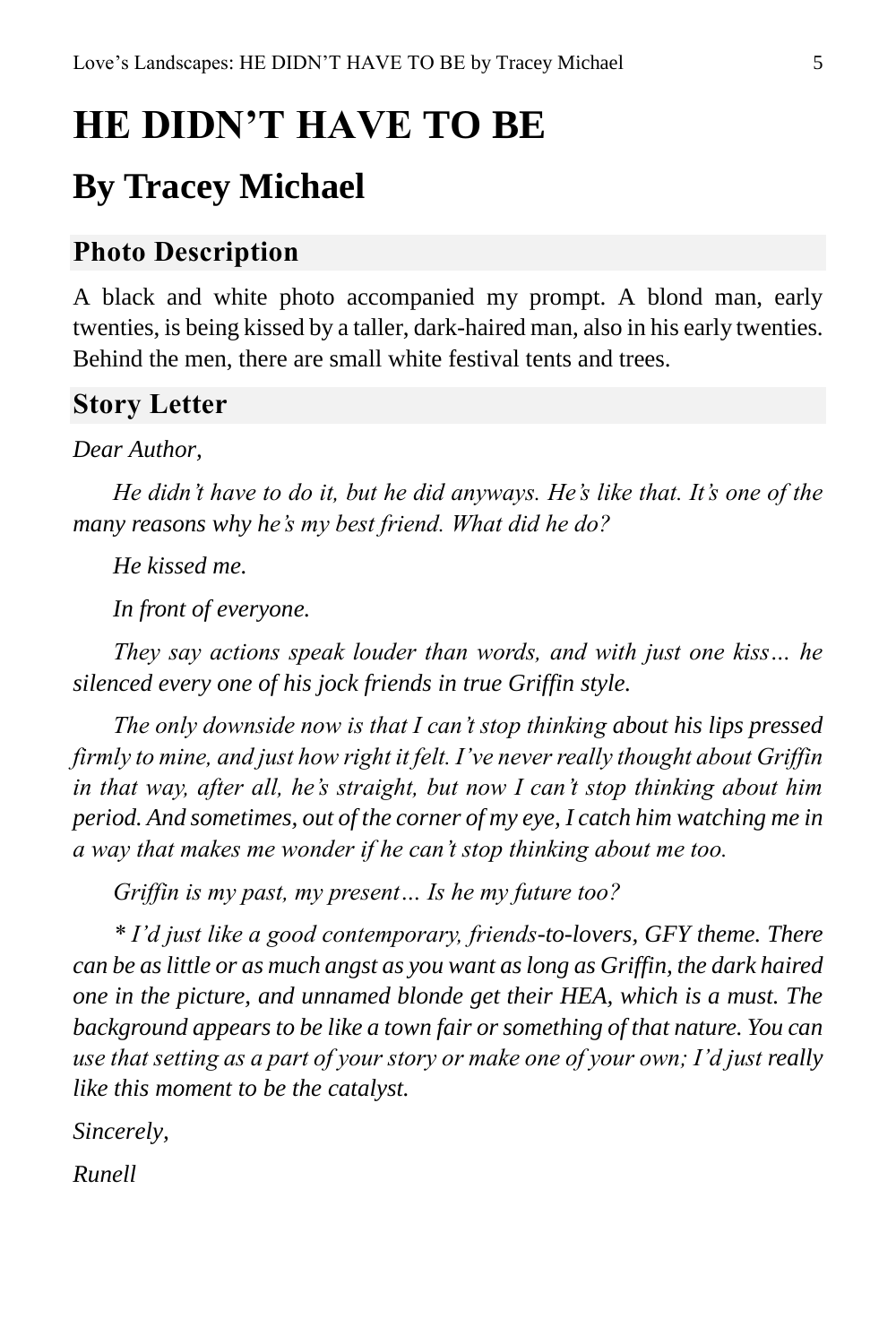# <span id="page-4-0"></span>**HE DIDN'T HAVE TO BE**

# **By Tracey Michael**

### **Photo Description**

A black and white photo accompanied my prompt. A blond man, early twenties, is being kissed by a taller, dark-haired man, also in his early twenties. Behind the men, there are small white festival tents and trees.

#### **Story Letter**

#### *Dear Author,*

*He didn't have to do it, but he did anyways. He's like that. It's one of the many reasons why he's my best friend. What did he do?*

*He kissed me.*

*In front of everyone.*

*They say actions speak louder than words, and with just one kiss… he silenced every one of his jock friends in true Griffin style.*

*The only downside now is that I can't stop thinking about his lips pressed firmly to mine, and just how right it felt. I've never really thought about Griffin in that way, after all, he's straight, but now I can't stop thinking about him period. And sometimes, out of the corner of my eye, I catch him watching me in a way that makes me wonder if he can't stop thinking about me too.*

*Griffin is my past, my present… Is he my future too?*

*\* I'd just like a good contemporary, friends-to-lovers, GFY theme. There can be as little or as much angst as you want as long as Griffin, the dark haired one in the picture, and unnamed blonde get their HEA, which is a must. The background appears to be like a town fair or something of that nature. You can use that setting as a part of your story or make one of your own; I'd just really like this moment to be the catalyst.*

*Sincerely,*

*Runell*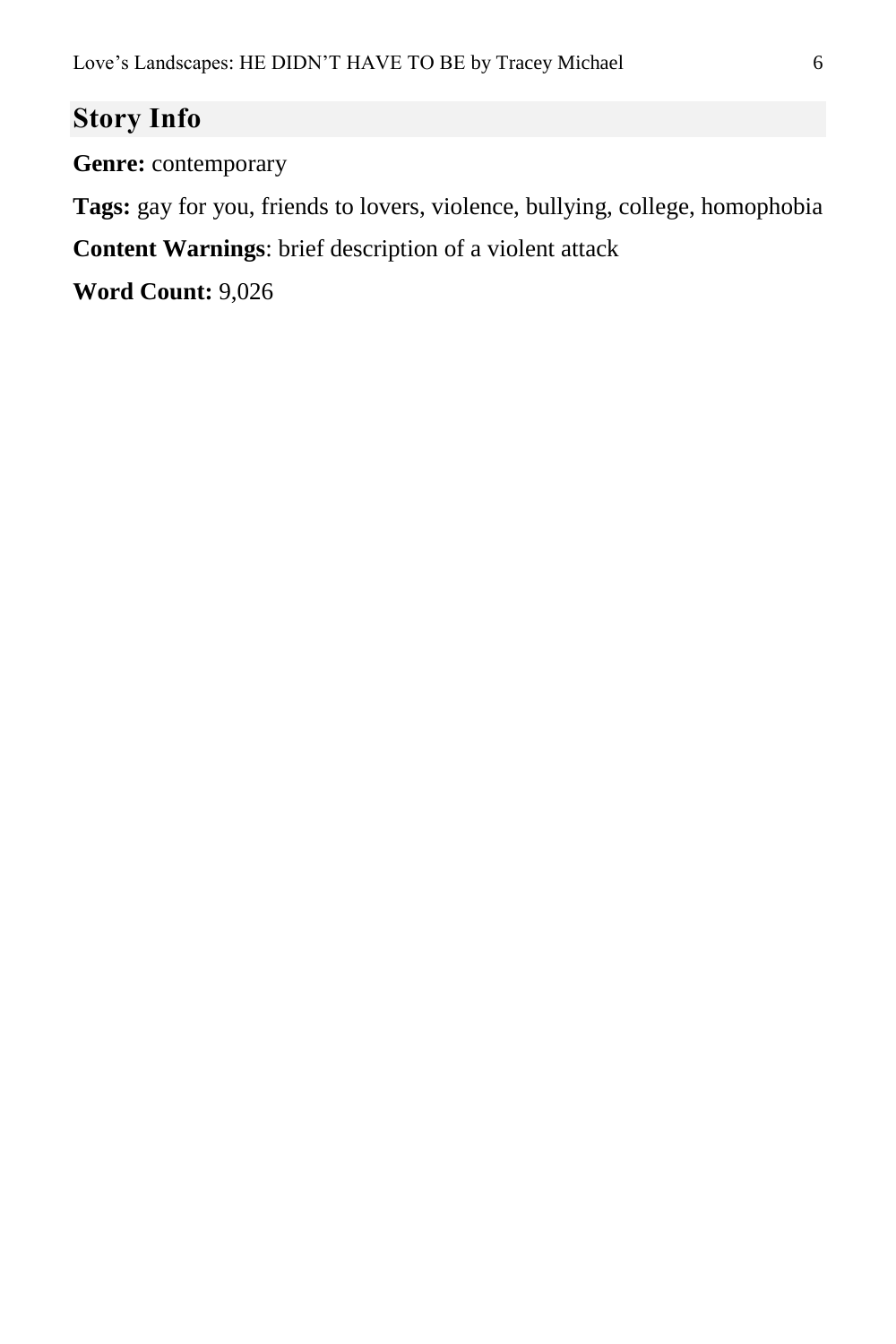## **Story Info**

**Genre:** contemporary

**Tags:** gay for you, friends to lovers, violence, bullying, college, homophobia

**Content Warnings**: brief description of a violent attack

**Word Count:** 9,026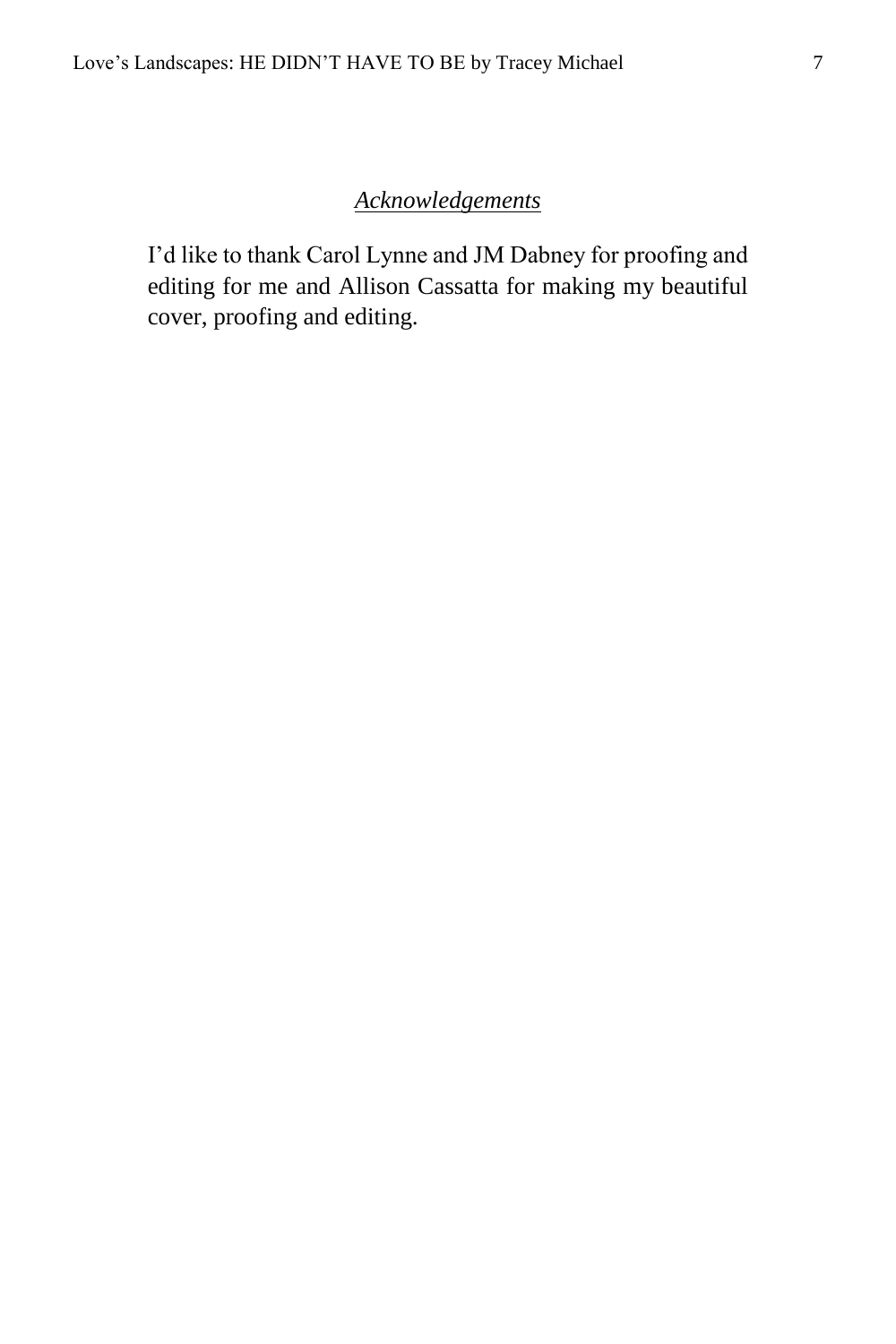#### *Acknowledgements*

<span id="page-6-0"></span>I'd like to thank Carol Lynne and JM Dabney for proofing and editing for me and Allison Cassatta for making my beautiful cover, proofing and editing.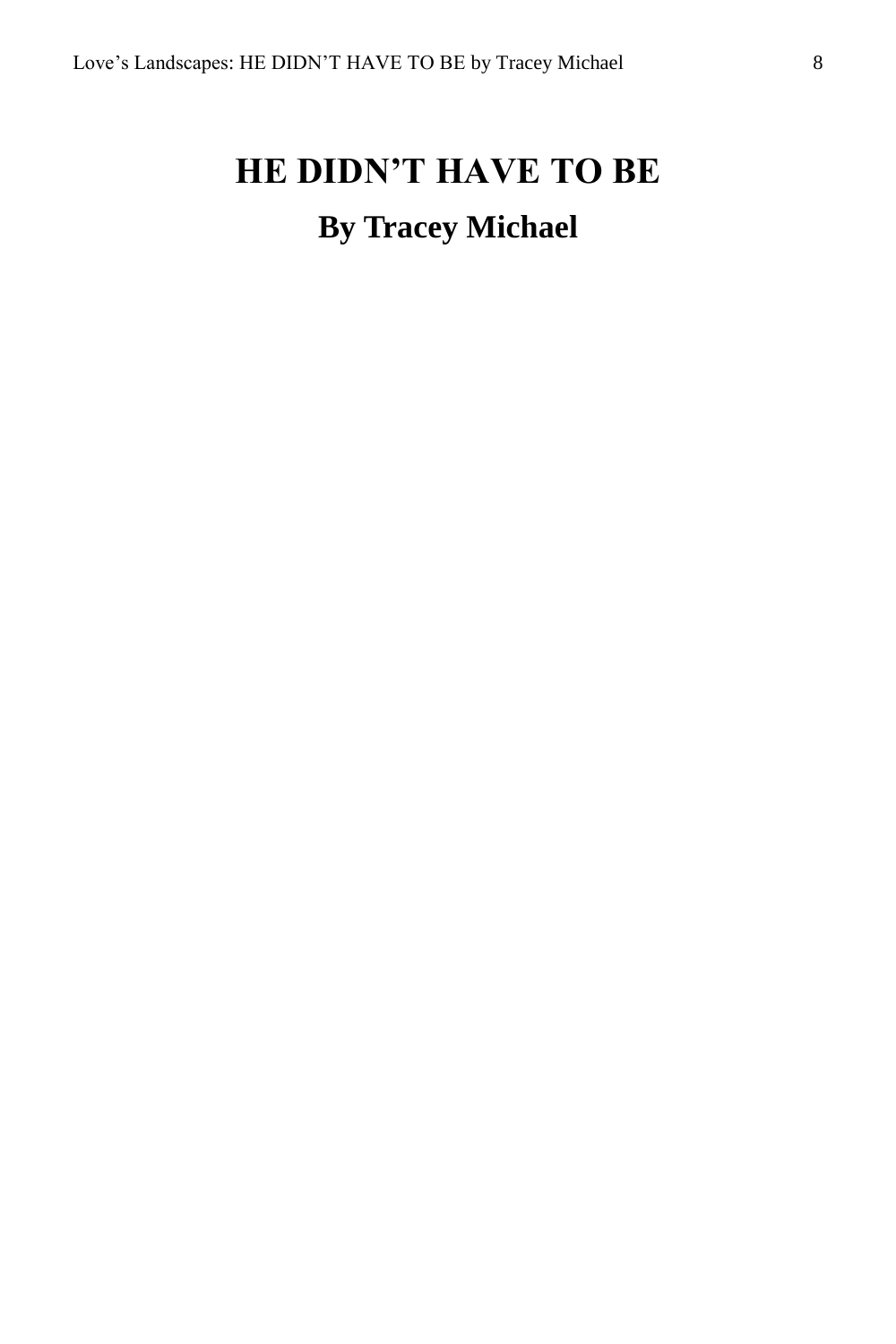# <span id="page-7-0"></span>**HE DIDN'T HAVE TO BE By Tracey Michael**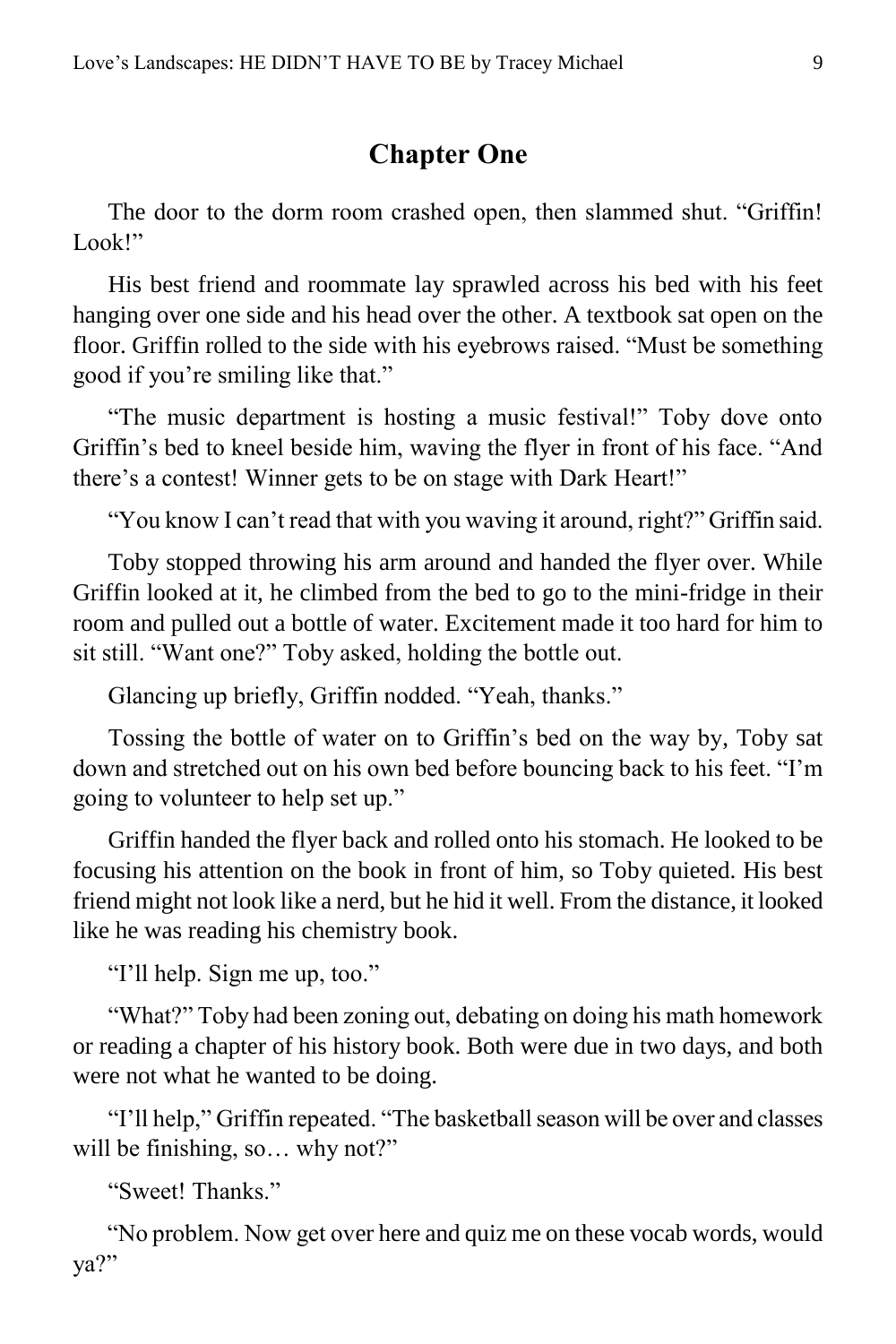#### **Chapter One**

<span id="page-8-0"></span>The door to the dorm room crashed open, then slammed shut. "Griffin! Look!"

His best friend and roommate lay sprawled across his bed with his feet hanging over one side and his head over the other. A textbook sat open on the floor. Griffin rolled to the side with his eyebrows raised. "Must be something good if you're smiling like that."

"The music department is hosting a music festival!" Toby dove onto Griffin's bed to kneel beside him, waving the flyer in front of his face. "And there's a contest! Winner gets to be on stage with Dark Heart!"

"You know I can't read that with you waving it around, right?" Griffin said.

Toby stopped throwing his arm around and handed the flyer over. While Griffin looked at it, he climbed from the bed to go to the mini-fridge in their room and pulled out a bottle of water. Excitement made it too hard for him to sit still. "Want one?" Toby asked, holding the bottle out.

Glancing up briefly, Griffin nodded. "Yeah, thanks."

Tossing the bottle of water on to Griffin's bed on the way by, Toby sat down and stretched out on his own bed before bouncing back to his feet. "I'm going to volunteer to help set up."

Griffin handed the flyer back and rolled onto his stomach. He looked to be focusing his attention on the book in front of him, so Toby quieted. His best friend might not look like a nerd, but he hid it well. From the distance, it looked like he was reading his chemistry book.

"I'll help. Sign me up, too."

"What?" Toby had been zoning out, debating on doing his math homework or reading a chapter of his history book. Both were due in two days, and both were not what he wanted to be doing.

"I'll help," Griffin repeated. "The basketball season will be over and classes will be finishing, so... why not?"

"Sweet! Thanks."

"No problem. Now get over here and quiz me on these vocab words, would ya?"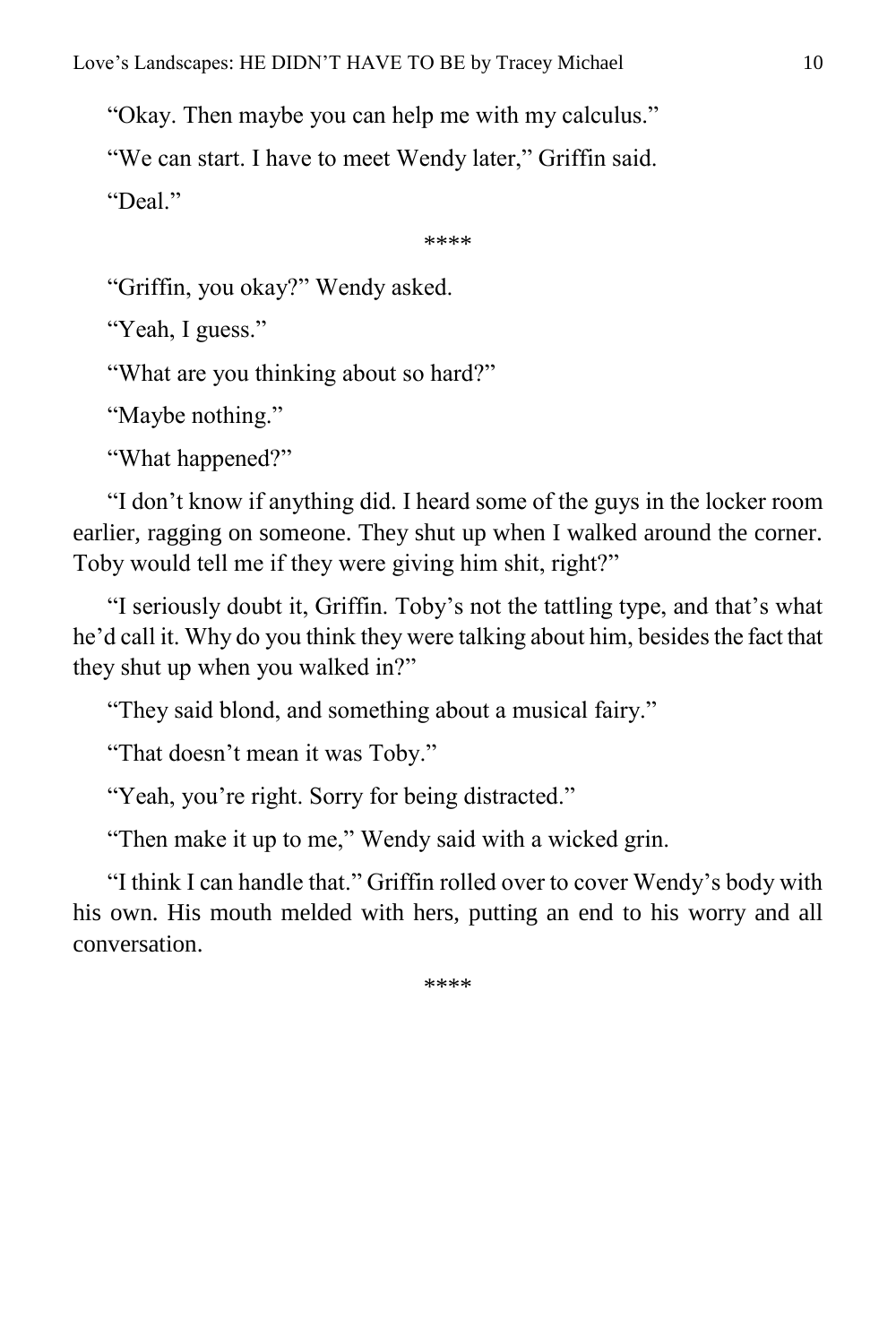"Okay. Then maybe you can help me with my calculus."

"We can start. I have to meet Wendy later," Griffin said.

"Deal"

\*\*\*\*

"Griffin, you okay?" Wendy asked.

"Yeah, I guess."

"What are you thinking about so hard?"

"Maybe nothing."

"What happened?"

"I don't know if anything did. I heard some of the guys in the locker room earlier, ragging on someone. They shut up when I walked around the corner. Toby would tell me if they were giving him shit, right?"

"I seriously doubt it, Griffin. Toby's not the tattling type, and that's what he'd call it. Why do you think they were talking about him, besides the fact that they shut up when you walked in?"

"They said blond, and something about a musical fairy."

"That doesn't mean it was Toby."

"Yeah, you're right. Sorry for being distracted."

"Then make it up to me," Wendy said with a wicked grin.

"I think I can handle that." Griffin rolled over to cover Wendy's body with his own. His mouth melded with hers, putting an end to his worry and all conversation.

\*\*\*\*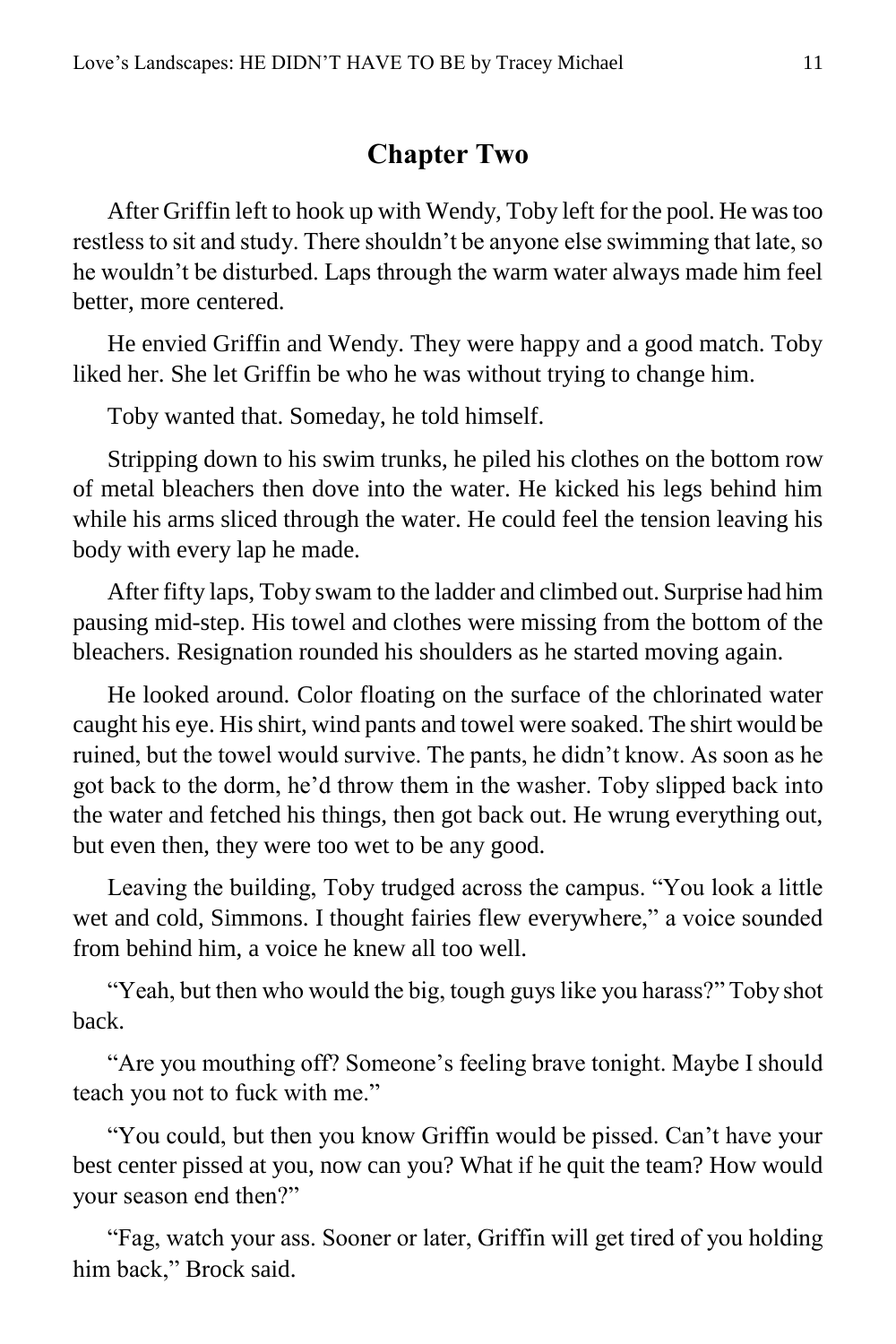#### **Chapter Two**

<span id="page-10-0"></span>After Griffin left to hook up with Wendy, Toby left for the pool. He was too restless to sit and study. There shouldn't be anyone else swimming that late, so he wouldn't be disturbed. Laps through the warm water always made him feel better, more centered.

He envied Griffin and Wendy. They were happy and a good match. Toby liked her. She let Griffin be who he was without trying to change him.

Toby wanted that. Someday, he told himself.

Stripping down to his swim trunks, he piled his clothes on the bottom row of metal bleachers then dove into the water. He kicked his legs behind him while his arms sliced through the water. He could feel the tension leaving his body with every lap he made.

After fifty laps, Toby swam to the ladder and climbed out. Surprise had him pausing mid-step. His towel and clothes were missing from the bottom of the bleachers. Resignation rounded his shoulders as he started moving again.

He looked around. Color floating on the surface of the chlorinated water caught his eye. His shirt, wind pants and towel were soaked. The shirt would be ruined, but the towel would survive. The pants, he didn't know. As soon as he got back to the dorm, he'd throw them in the washer. Toby slipped back into the water and fetched his things, then got back out. He wrung everything out, but even then, they were too wet to be any good.

Leaving the building, Toby trudged across the campus. "You look a little wet and cold, Simmons. I thought fairies flew everywhere," a voice sounded from behind him, a voice he knew all too well.

"Yeah, but then who would the big, tough guys like you harass?" Toby shot back.

"Are you mouthing off? Someone's feeling brave tonight. Maybe I should teach you not to fuck with me."

"You could, but then you know Griffin would be pissed. Can't have your best center pissed at you, now can you? What if he quit the team? How would your season end then?"

"Fag, watch your ass. Sooner or later, Griffin will get tired of you holding him back," Brock said.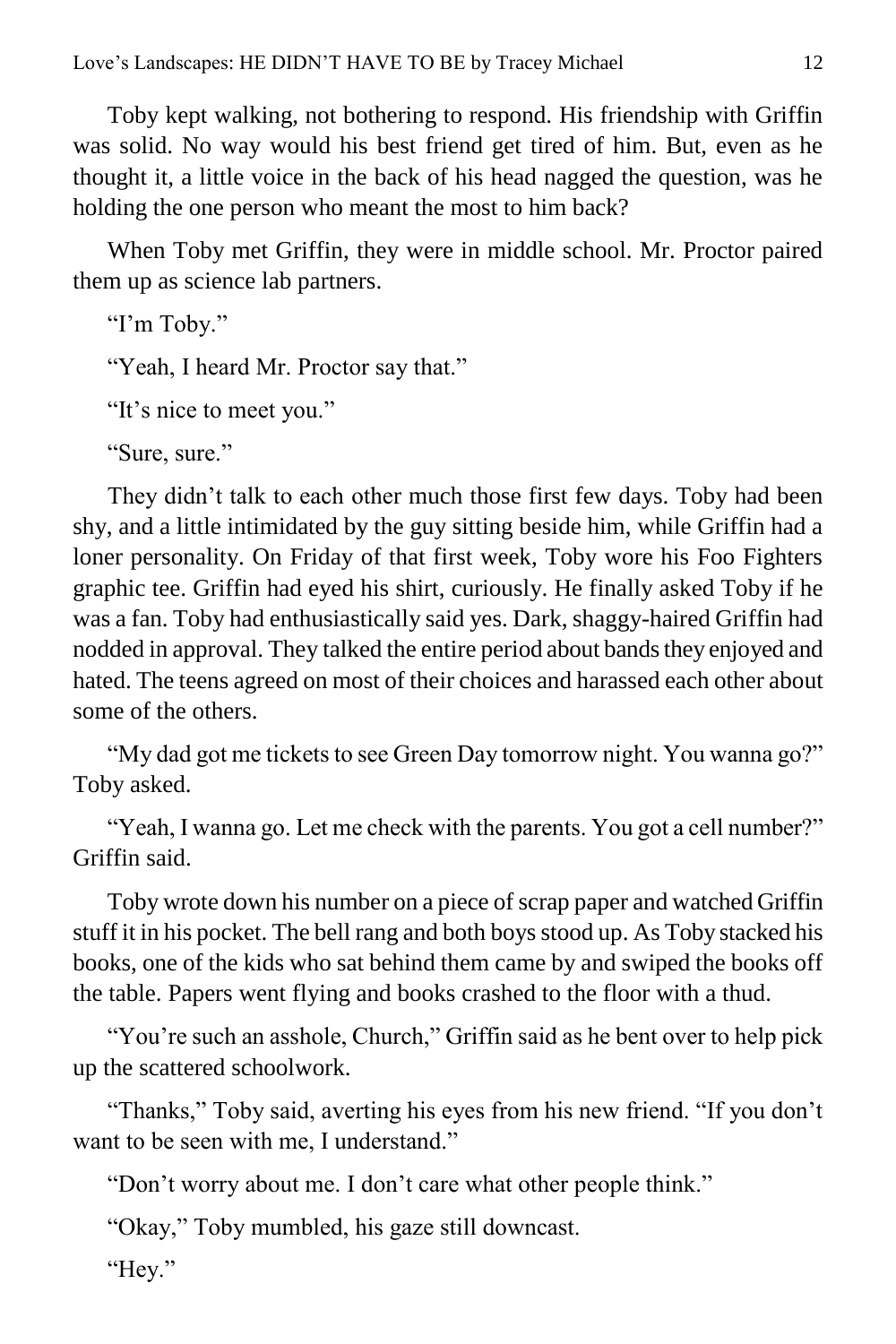Toby kept walking, not bothering to respond. His friendship with Griffin was solid. No way would his best friend get tired of him. But, even as he thought it, a little voice in the back of his head nagged the question, was he holding the one person who meant the most to him back?

When Toby met Griffin, they were in middle school. Mr. Proctor paired them up as science lab partners.

```
"I'm Toby."
"Yeah, I heard Mr. Proctor say that."
"It's nice to meet you."
"Sure, sure."
```
They didn't talk to each other much those first few days. Toby had been shy, and a little intimidated by the guy sitting beside him, while Griffin had a loner personality. On Friday of that first week, Toby wore his Foo Fighters graphic tee. Griffin had eyed his shirt, curiously. He finally asked Toby if he was a fan. Toby had enthusiastically said yes. Dark, shaggy-haired Griffin had nodded in approval. They talked the entire period about bands they enjoyed and hated. The teens agreed on most of their choices and harassed each other about some of the others.

"My dad got me tickets to see Green Day tomorrow night. You wanna go?" Toby asked.

"Yeah, I wanna go. Let me check with the parents. You got a cell number?" Griffin said.

Toby wrote down his number on a piece of scrap paper and watched Griffin stuff it in his pocket. The bell rang and both boys stood up. As Toby stacked his books, one of the kids who sat behind them came by and swiped the books off the table. Papers went flying and books crashed to the floor with a thud.

"You're such an asshole, Church," Griffin said as he bent over to help pick up the scattered schoolwork.

"Thanks," Toby said, averting his eyes from his new friend. "If you don't want to be seen with me, I understand."

"Don't worry about me. I don't care what other people think."

"Okay," Toby mumbled, his gaze still downcast.

"Hey."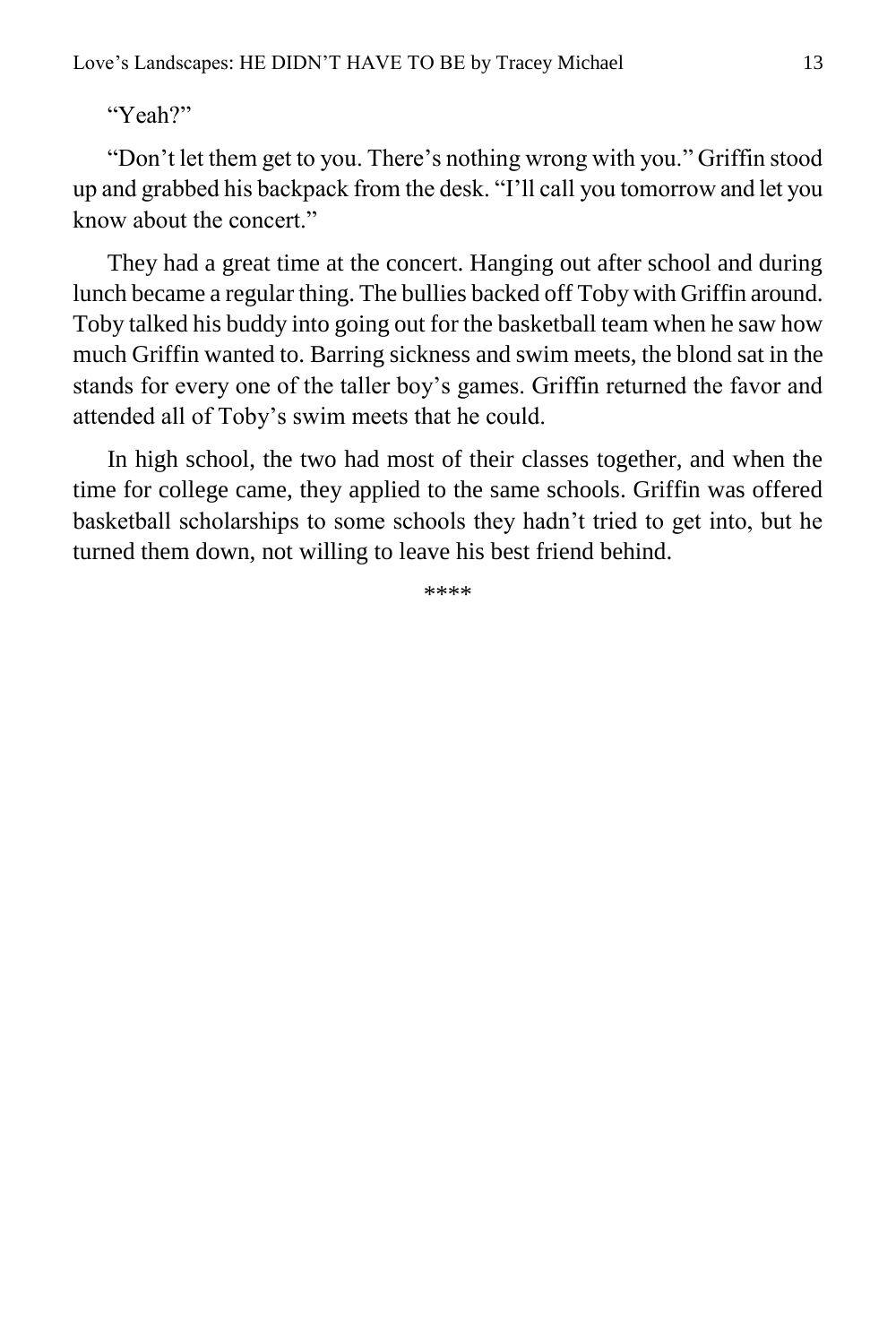"Don't let them get to you. There's nothing wrong with you." Griffin stood up and grabbed his backpack from the desk. "I'll call you tomorrow and let you know about the concert."

They had a great time at the concert. Hanging out after school and during lunch became a regular thing. The bullies backed off Toby with Griffin around. Toby talked his buddy into going out for the basketball team when he saw how much Griffin wanted to. Barring sickness and swim meets, the blond sat in the stands for every one of the taller boy's games. Griffin returned the favor and attended all of Toby's swim meets that he could.

In high school, the two had most of their classes together, and when the time for college came, they applied to the same schools. Griffin was offered basketball scholarships to some schools they hadn't tried to get into, but he turned them down, not willing to leave his best friend behind.

\*\*\*\*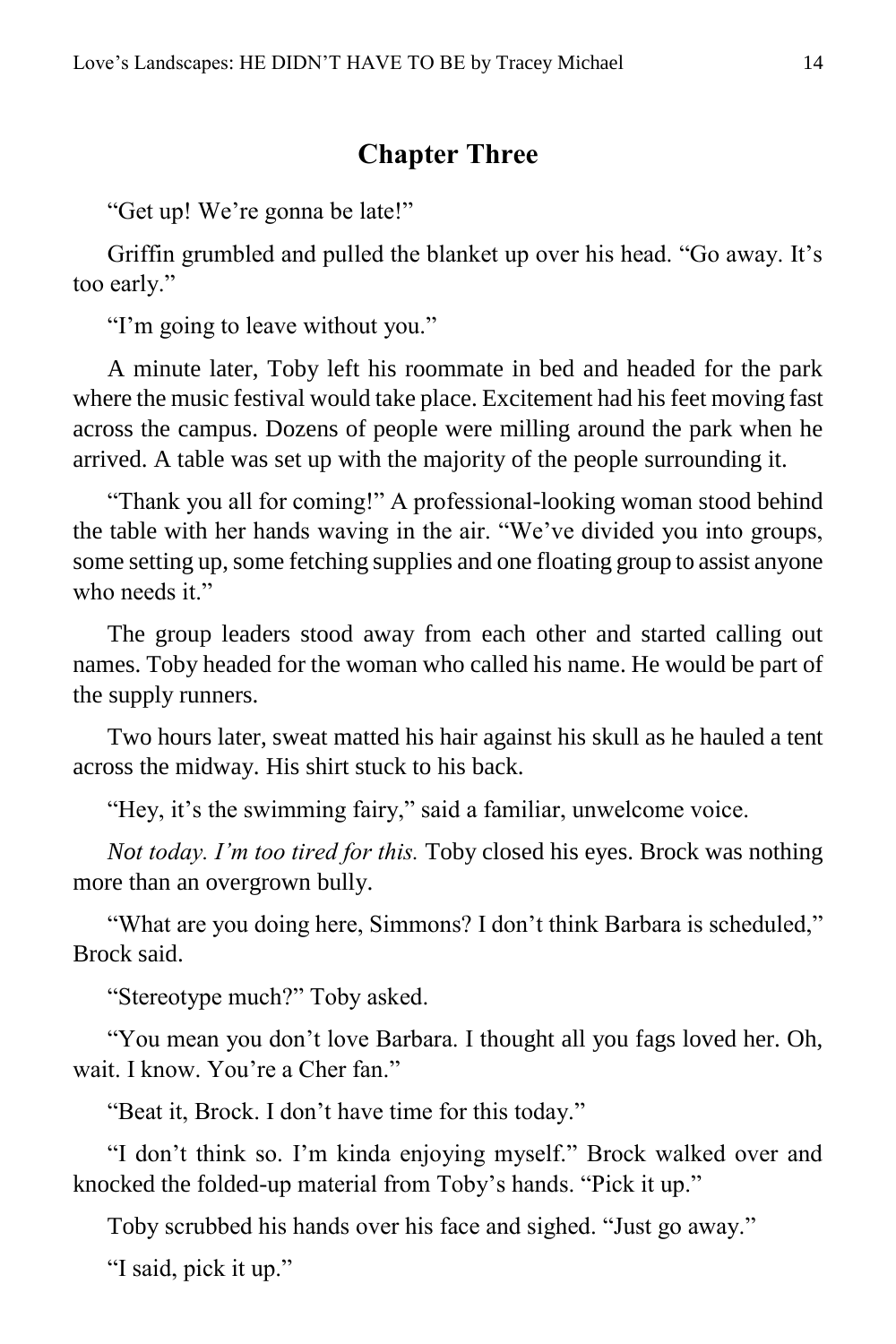#### **Chapter Three**

<span id="page-13-0"></span>"Get up! We're gonna be late!"

Griffin grumbled and pulled the blanket up over his head. "Go away. It's too early."

"I'm going to leave without you."

A minute later, Toby left his roommate in bed and headed for the park where the music festival would take place. Excitement had his feet moving fast across the campus. Dozens of people were milling around the park when he arrived. A table was set up with the majority of the people surrounding it.

"Thank you all for coming!" A professional-looking woman stood behind the table with her hands waving in the air. "We've divided you into groups, some setting up, some fetching supplies and one floating group to assist anyone who needs it."

The group leaders stood away from each other and started calling out names. Toby headed for the woman who called his name. He would be part of the supply runners.

Two hours later, sweat matted his hair against his skull as he hauled a tent across the midway. His shirt stuck to his back.

"Hey, it's the swimming fairy," said a familiar, unwelcome voice.

*Not today. I'm too tired for this.* Toby closed his eyes. Brock was nothing more than an overgrown bully.

"What are you doing here, Simmons? I don't think Barbara is scheduled," Brock said.

"Stereotype much?" Toby asked.

"You mean you don't love Barbara. I thought all you fags loved her. Oh, wait. I know. You're a Cher fan."

"Beat it, Brock. I don't have time for this today."

"I don't think so. I'm kinda enjoying myself." Brock walked over and knocked the folded-up material from Toby's hands. "Pick it up."

Toby scrubbed his hands over his face and sighed. "Just go away."

"I said, pick it up."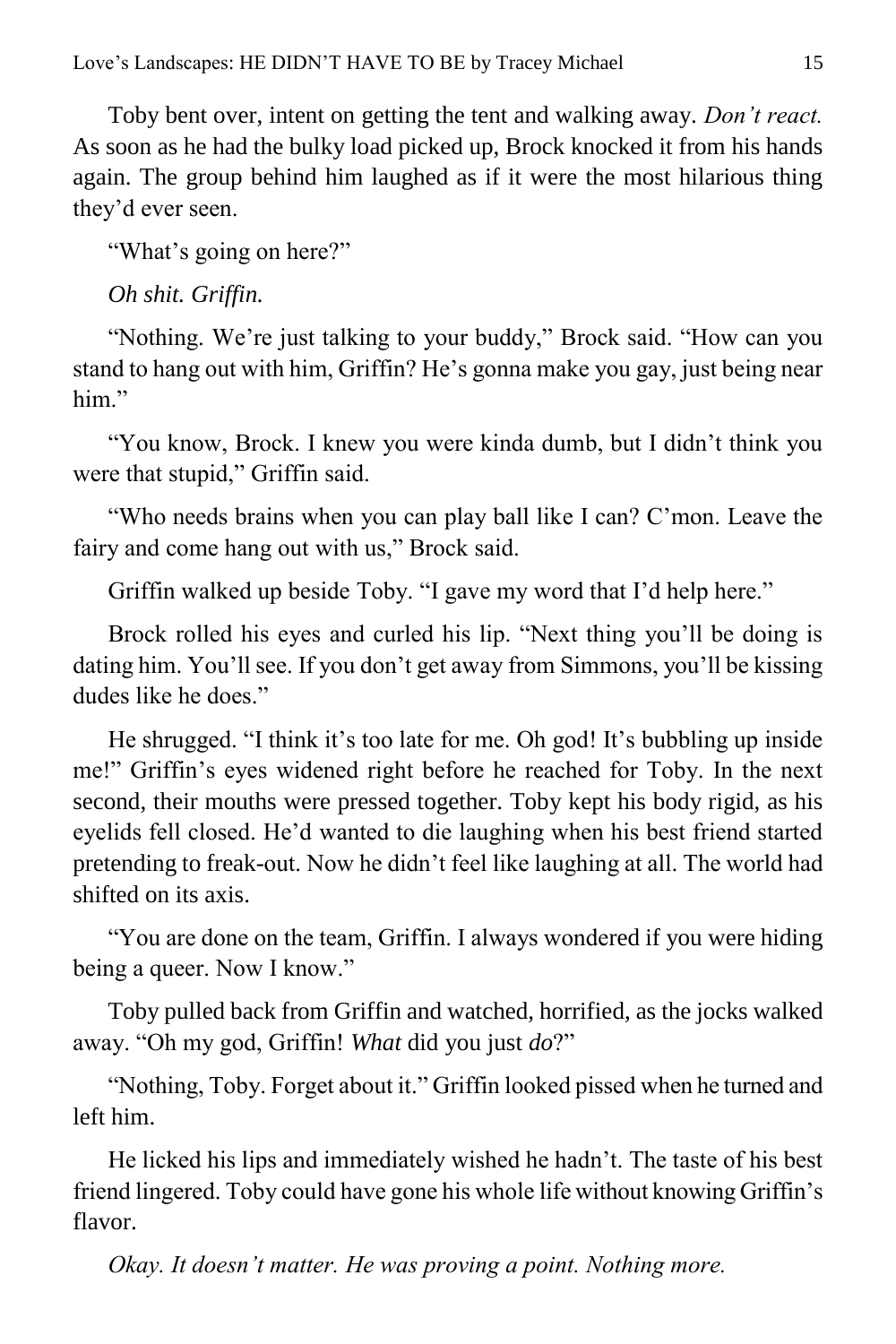Toby bent over, intent on getting the tent and walking away. *Don't react.* As soon as he had the bulky load picked up, Brock knocked it from his hands again. The group behind him laughed as if it were the most hilarious thing they'd ever seen.

"What's going on here?"

*Oh shit. Griffin.*

"Nothing. We're just talking to your buddy," Brock said. "How can you stand to hang out with him, Griffin? He's gonna make you gay, just being near him"

"You know, Brock. I knew you were kinda dumb, but I didn't think you were that stupid," Griffin said.

"Who needs brains when you can play ball like I can? C'mon. Leave the fairy and come hang out with us," Brock said.

Griffin walked up beside Toby. "I gave my word that I'd help here."

Brock rolled his eyes and curled his lip. "Next thing you'll be doing is dating him. You'll see. If you don't get away from Simmons, you'll be kissing dudes like he does."

He shrugged. "I think it's too late for me. Oh god! It's bubbling up inside me!" Griffin's eyes widened right before he reached for Toby. In the next second, their mouths were pressed together. Toby kept his body rigid, as his eyelids fell closed. He'd wanted to die laughing when his best friend started pretending to freak-out. Now he didn't feel like laughing at all. The world had shifted on its axis.

"You are done on the team, Griffin. I always wondered if you were hiding being a queer. Now I know."

Toby pulled back from Griffin and watched, horrified, as the jocks walked away. "Oh my god, Griffin! *What* did you just *do*?"

"Nothing, Toby. Forget about it." Griffin looked pissed when he turned and left him.

He licked his lips and immediately wished he hadn't. The taste of his best friend lingered. Toby could have gone his whole life without knowing Griffin's flavor.

*Okay. It doesn't matter. He was proving a point. Nothing more.*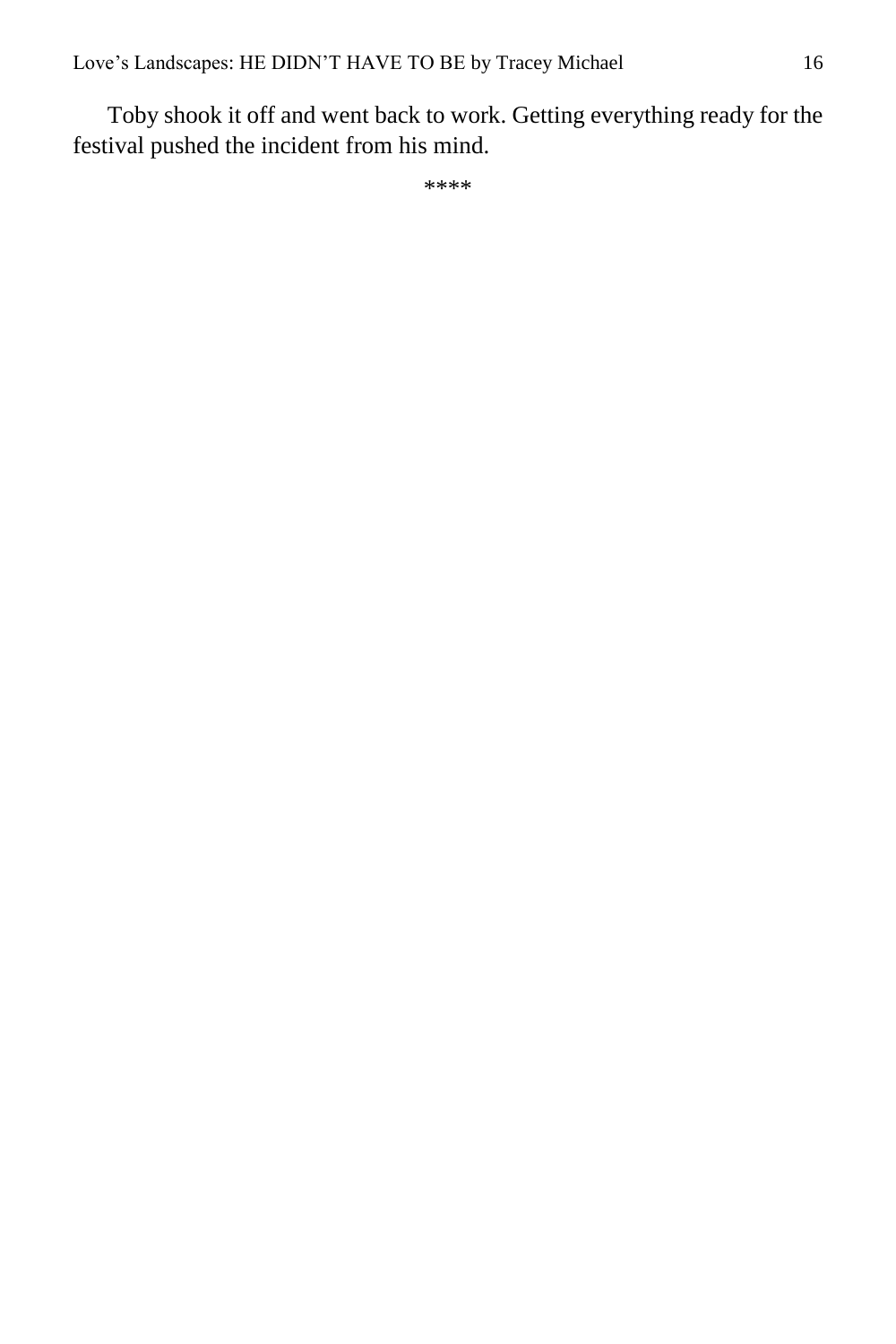Toby shook it off and went back to work. Getting everything ready for the festival pushed the incident from his mind.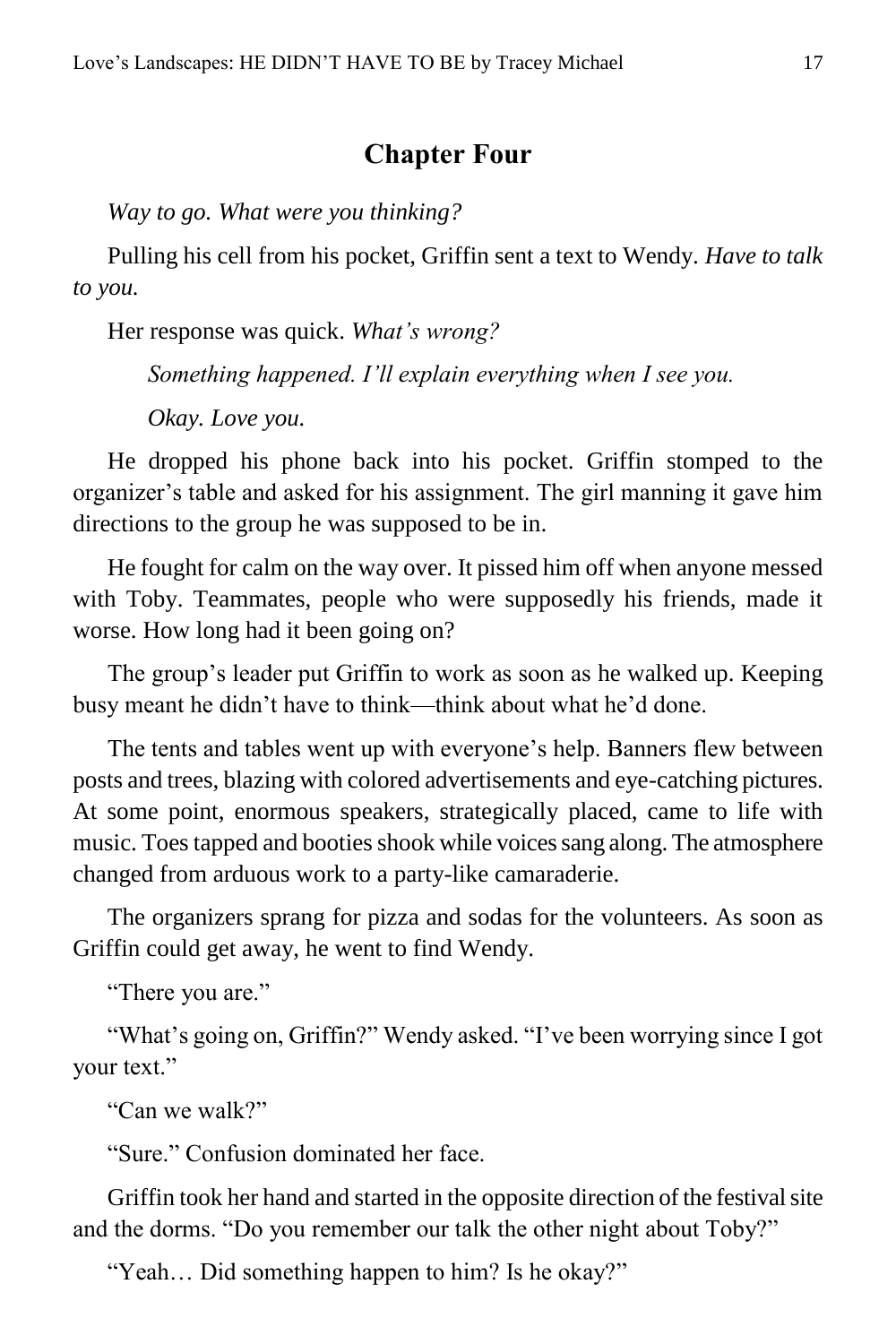#### **Chapter Four**

<span id="page-16-0"></span>*Way to go. What were you thinking?*

Pulling his cell from his pocket, Griffin sent a text to Wendy. *Have to talk to you.*

Her response was quick. *What's wrong?*

*Something happened. I'll explain everything when I see you.*

*Okay. Love you.*

He dropped his phone back into his pocket. Griffin stomped to the organizer's table and asked for his assignment. The girl manning it gave him directions to the group he was supposed to be in.

He fought for calm on the way over. It pissed him off when anyone messed with Toby. Teammates, people who were supposedly his friends, made it worse. How long had it been going on?

The group's leader put Griffin to work as soon as he walked up. Keeping busy meant he didn't have to think—think about what he'd done.

The tents and tables went up with everyone's help. Banners flew between posts and trees, blazing with colored advertisements and eye-catching pictures. At some point, enormous speakers, strategically placed, came to life with music. Toes tapped and booties shook while voices sang along. The atmosphere changed from arduous work to a party-like camaraderie.

The organizers sprang for pizza and sodas for the volunteers. As soon as Griffin could get away, he went to find Wendy.

"There you are."

"What's going on, Griffin?" Wendy asked. "I've been worrying since I got your text."

"Can we walk?"

"Sure." Confusion dominated her face.

Griffin took her hand and started in the opposite direction of the festival site and the dorms. "Do you remember our talk the other night about Toby?"

"Yeah… Did something happen to him? Is he okay?"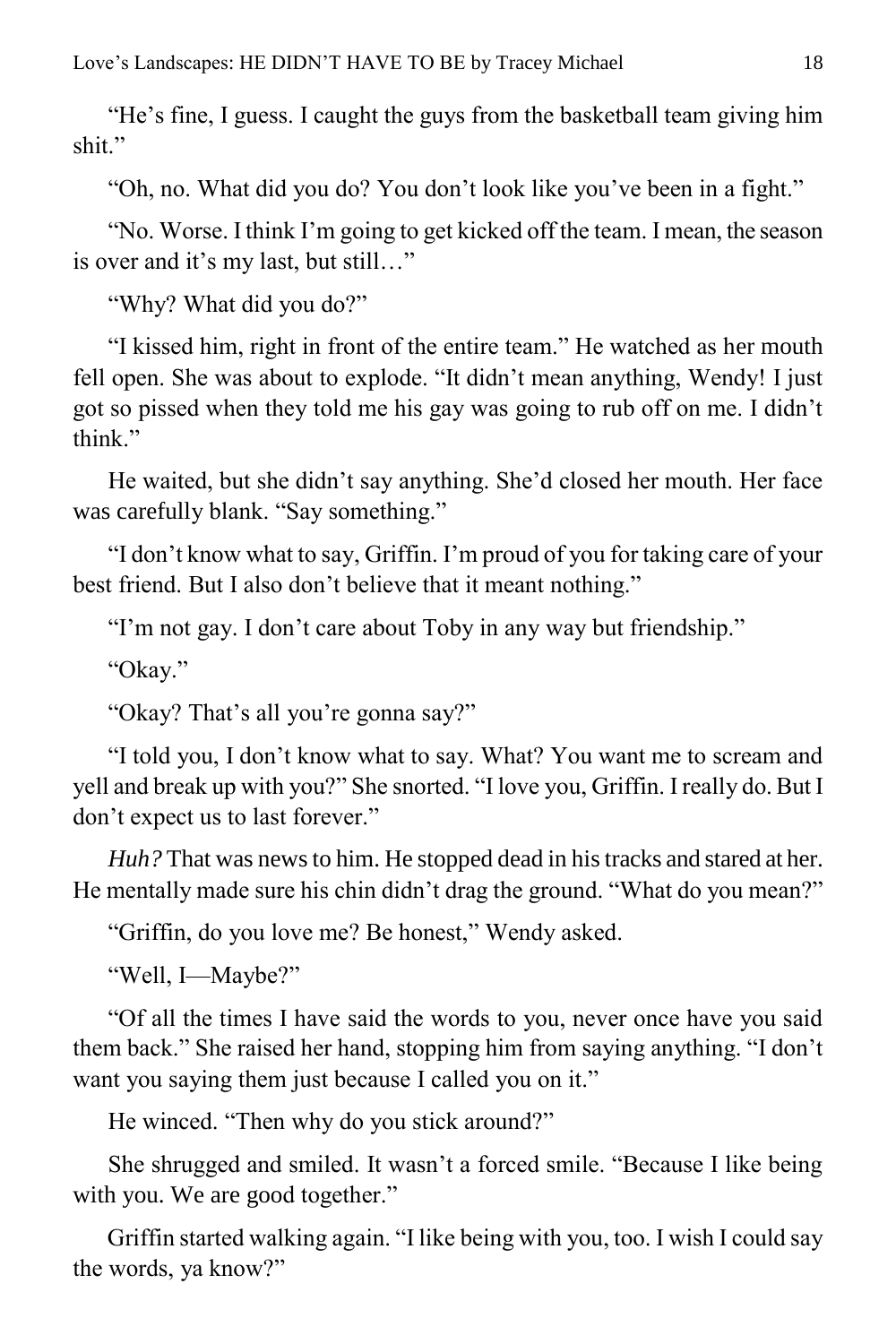"He's fine, I guess. I caught the guys from the basketball team giving him shit."

"Oh, no. What did you do? You don't look like you've been in a fight."

"No. Worse. I think I'm going to get kicked off the team. I mean, the season is over and it's my last, but still…"

"Why? What did you do?"

"I kissed him, right in front of the entire team." He watched as her mouth fell open. She was about to explode. "It didn't mean anything, Wendy! I just got so pissed when they told me his gay was going to rub off on me. I didn't think"

He waited, but she didn't say anything. She'd closed her mouth. Her face was carefully blank. "Say something."

"I don't know what to say, Griffin. I'm proud of you for taking care of your best friend. But I also don't believe that it meant nothing."

"I'm not gay. I don't care about Toby in any way but friendship."

"Okay."

"Okay? That's all you're gonna say?"

"I told you, I don't know what to say. What? You want me to scream and yell and break up with you?" She snorted. "I love you, Griffin. I really do. But I don't expect us to last forever."

*Huh?* That was news to him. He stopped dead in his tracks and stared at her. He mentally made sure his chin didn't drag the ground. "What do you mean?"

"Griffin, do you love me? Be honest," Wendy asked.

"Well, I—Maybe?"

"Of all the times I have said the words to you, never once have you said them back." She raised her hand, stopping him from saying anything. "I don't want you saying them just because I called you on it."

He winced. "Then why do you stick around?"

She shrugged and smiled. It wasn't a forced smile. "Because I like being with you. We are good together."

Griffin started walking again. "I like being with you, too. I wish I could say the words, ya know?"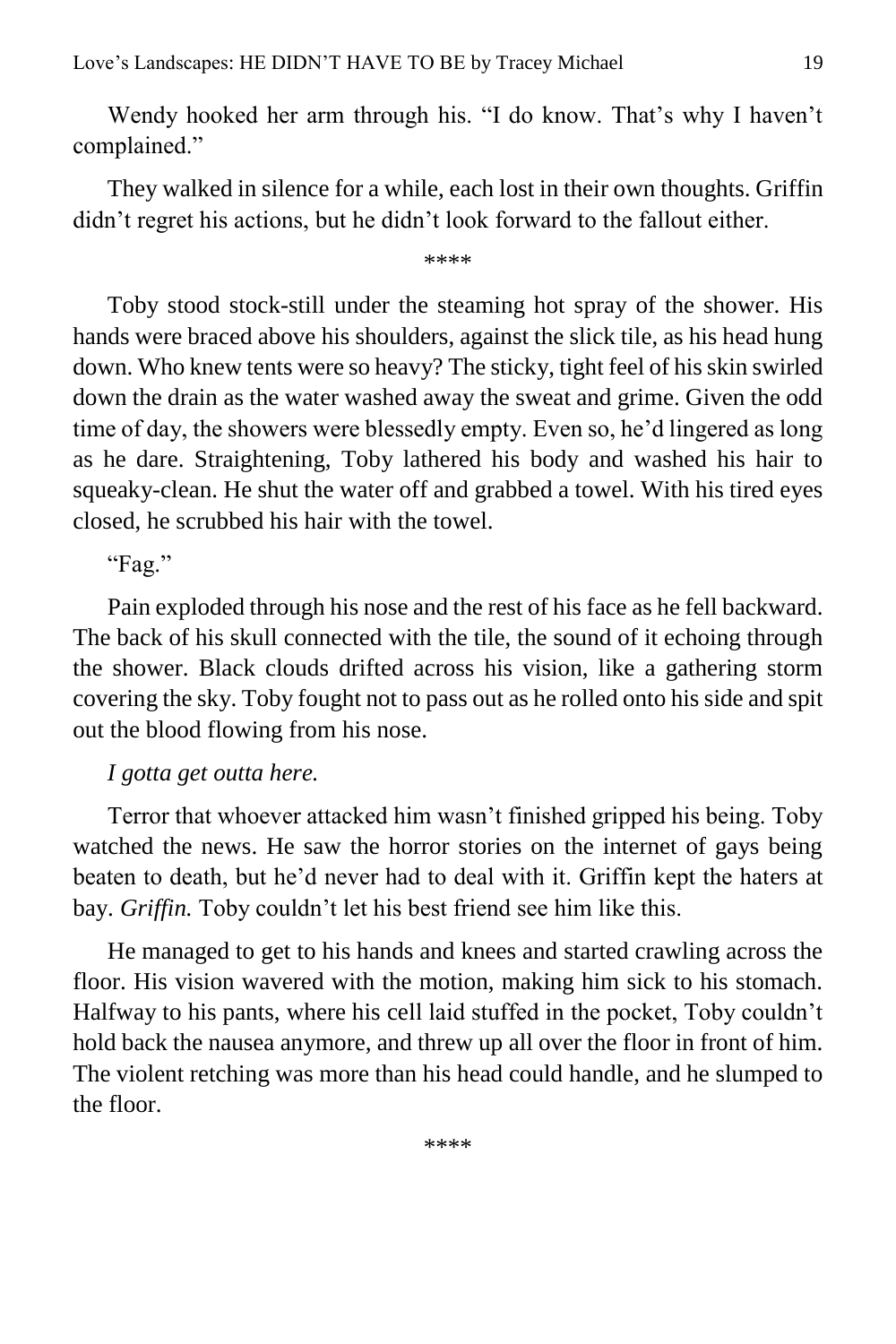Wendy hooked her arm through his. "I do know. That's why I haven't complained."

They walked in silence for a while, each lost in their own thoughts. Griffin didn't regret his actions, but he didn't look forward to the fallout either.

\*\*\*\*

Toby stood stock-still under the steaming hot spray of the shower. His hands were braced above his shoulders, against the slick tile, as his head hung down. Who knew tents were so heavy? The sticky, tight feel of his skin swirled down the drain as the water washed away the sweat and grime. Given the odd time of day, the showers were blessedly empty. Even so, he'd lingered as long as he dare. Straightening, Toby lathered his body and washed his hair to squeaky-clean. He shut the water off and grabbed a towel. With his tired eyes closed, he scrubbed his hair with the towel.

"Fag."

Pain exploded through his nose and the rest of his face as he fell backward. The back of his skull connected with the tile, the sound of it echoing through the shower. Black clouds drifted across his vision, like a gathering storm covering the sky. Toby fought not to pass out as he rolled onto his side and spit out the blood flowing from his nose.

#### *I gotta get outta here.*

Terror that whoever attacked him wasn't finished gripped his being. Toby watched the news. He saw the horror stories on the internet of gays being beaten to death, but he'd never had to deal with it. Griffin kept the haters at bay. *Griffin.* Toby couldn't let his best friend see him like this.

He managed to get to his hands and knees and started crawling across the floor. His vision wavered with the motion, making him sick to his stomach. Halfway to his pants, where his cell laid stuffed in the pocket, Toby couldn't hold back the nausea anymore, and threw up all over the floor in front of him. The violent retching was more than his head could handle, and he slumped to the floor.

\*\*\*\*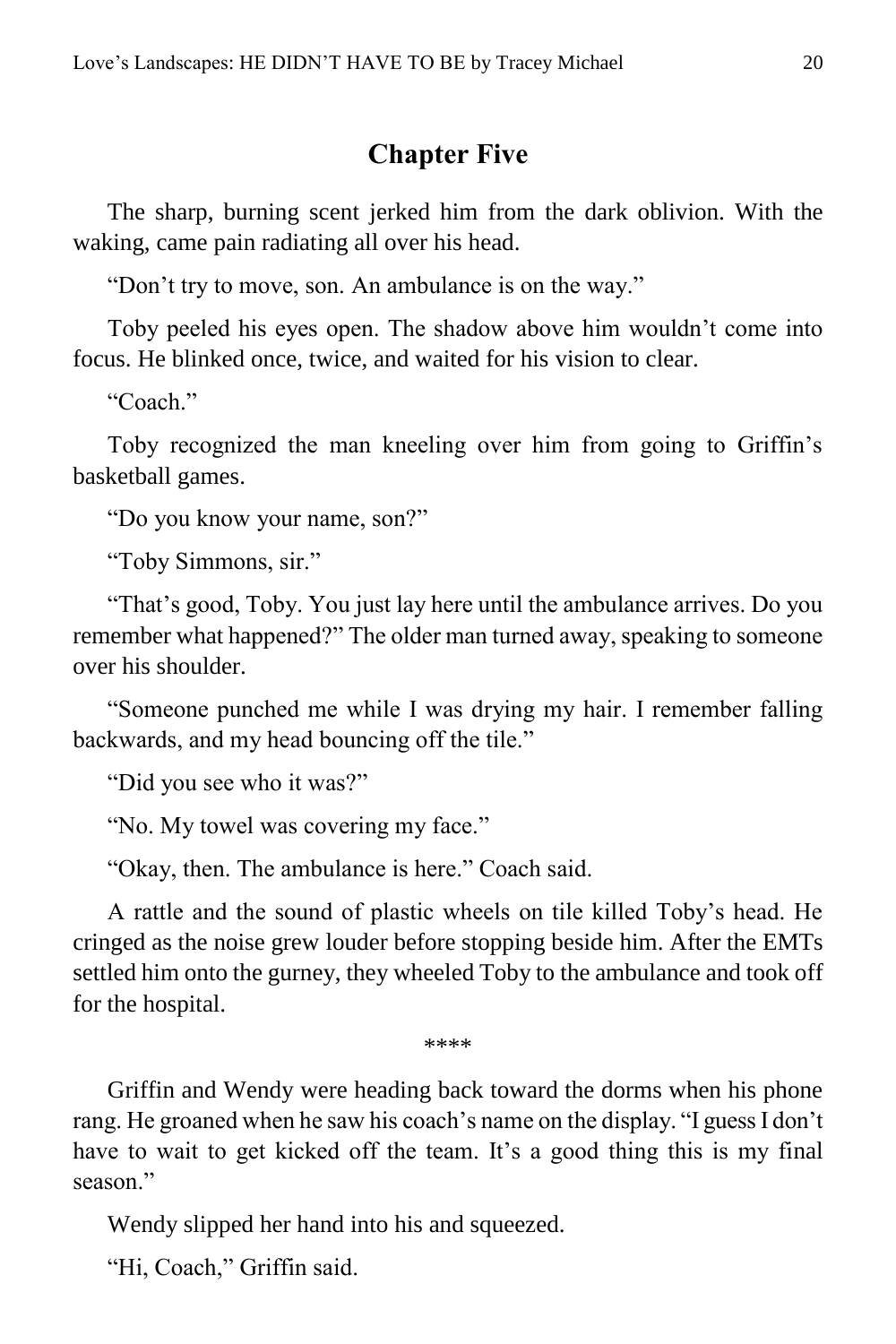#### **Chapter Five**

<span id="page-19-0"></span>The sharp, burning scent jerked him from the dark oblivion. With the waking, came pain radiating all over his head.

"Don't try to move, son. An ambulance is on the way."

Toby peeled his eyes open. The shadow above him wouldn't come into focus. He blinked once, twice, and waited for his vision to clear.

"Coach."

Toby recognized the man kneeling over him from going to Griffin's basketball games.

"Do you know your name, son?"

"Toby Simmons, sir."

"That's good, Toby. You just lay here until the ambulance arrives. Do you remember what happened?" The older man turned away, speaking to someone over his shoulder.

"Someone punched me while I was drying my hair. I remember falling backwards, and my head bouncing off the tile."

"Did you see who it was?"

"No. My towel was covering my face."

"Okay, then. The ambulance is here." Coach said.

A rattle and the sound of plastic wheels on tile killed Toby's head. He cringed as the noise grew louder before stopping beside him. After the EMTs settled him onto the gurney, they wheeled Toby to the ambulance and took off for the hospital.

\*\*\*\*

Griffin and Wendy were heading back toward the dorms when his phone rang. He groaned when he saw his coach's name on the display. "I guess I don't have to wait to get kicked off the team. It's a good thing this is my final season."

Wendy slipped her hand into his and squeezed.

"Hi, Coach," Griffin said.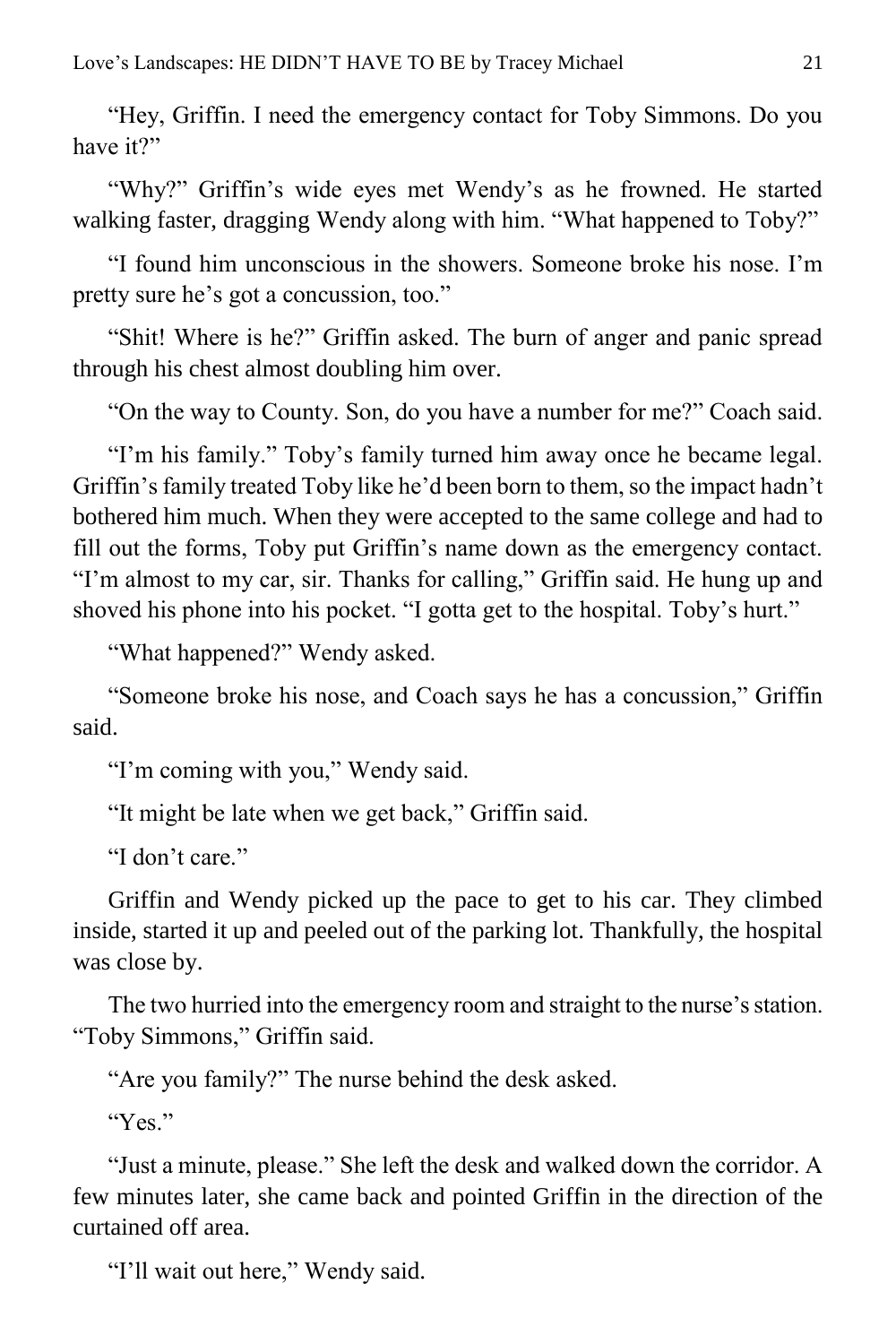"Hey, Griffin. I need the emergency contact for Toby Simmons. Do you have it?"

"Why?" Griffin's wide eyes met Wendy's as he frowned. He started walking faster, dragging Wendy along with him. "What happened to Toby?"

"I found him unconscious in the showers. Someone broke his nose. I'm pretty sure he's got a concussion, too."

"Shit! Where is he?" Griffin asked. The burn of anger and panic spread through his chest almost doubling him over.

"On the way to County. Son, do you have a number for me?" Coach said.

"I'm his family." Toby's family turned him away once he became legal. Griffin's family treated Toby like he'd been born to them, so the impact hadn't bothered him much. When they were accepted to the same college and had to fill out the forms, Toby put Griffin's name down as the emergency contact. "I'm almost to my car, sir. Thanks for calling," Griffin said. He hung up and shoved his phone into his pocket. "I gotta get to the hospital. Toby's hurt."

"What happened?" Wendy asked.

"Someone broke his nose, and Coach says he has a concussion," Griffin said.

"I'm coming with you," Wendy said.

"It might be late when we get back," Griffin said.

"I don't care."

Griffin and Wendy picked up the pace to get to his car. They climbed inside, started it up and peeled out of the parking lot. Thankfully, the hospital was close by.

The two hurried into the emergency room and straight to the nurse's station. "Toby Simmons," Griffin said.

"Are you family?" The nurse behind the desk asked.

"Yes."

"Just a minute, please." She left the desk and walked down the corridor. A few minutes later, she came back and pointed Griffin in the direction of the curtained off area.

"I'll wait out here," Wendy said.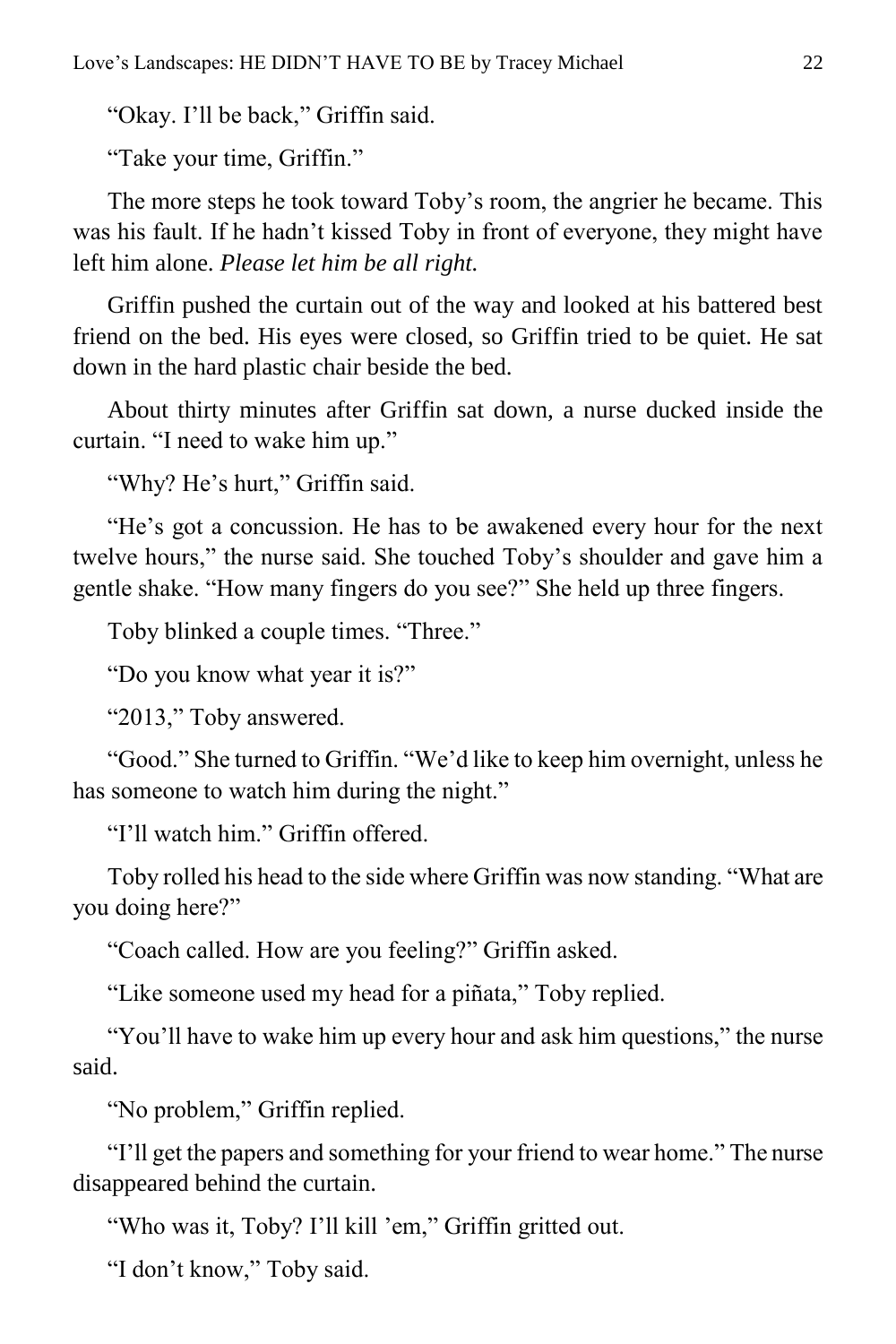"Okay. I'll be back," Griffin said.

"Take your time, Griffin."

The more steps he took toward Toby's room, the angrier he became. This was his fault. If he hadn't kissed Toby in front of everyone, they might have left him alone. *Please let him be all right.*

Griffin pushed the curtain out of the way and looked at his battered best friend on the bed. His eyes were closed, so Griffin tried to be quiet. He sat down in the hard plastic chair beside the bed.

About thirty minutes after Griffin sat down, a nurse ducked inside the curtain. "I need to wake him up."

"Why? He's hurt," Griffin said.

"He's got a concussion. He has to be awakened every hour for the next twelve hours," the nurse said. She touched Toby's shoulder and gave him a gentle shake. "How many fingers do you see?" She held up three fingers.

Toby blinked a couple times. "Three."

"Do you know what year it is?"

"2013," Toby answered.

"Good." She turned to Griffin. "We'd like to keep him overnight, unless he has someone to watch him during the night."

"I'll watch him." Griffin offered.

Toby rolled his head to the side where Griffin was now standing. "What are you doing here?"

"Coach called. How are you feeling?" Griffin asked.

"Like someone used my head for a piñata," Toby replied.

"You'll have to wake him up every hour and ask him questions," the nurse said.

"No problem," Griffin replied.

"I'll get the papers and something for your friend to wear home." The nurse disappeared behind the curtain.

"Who was it, Toby? I'll kill 'em," Griffin gritted out.

"I don't know," Toby said.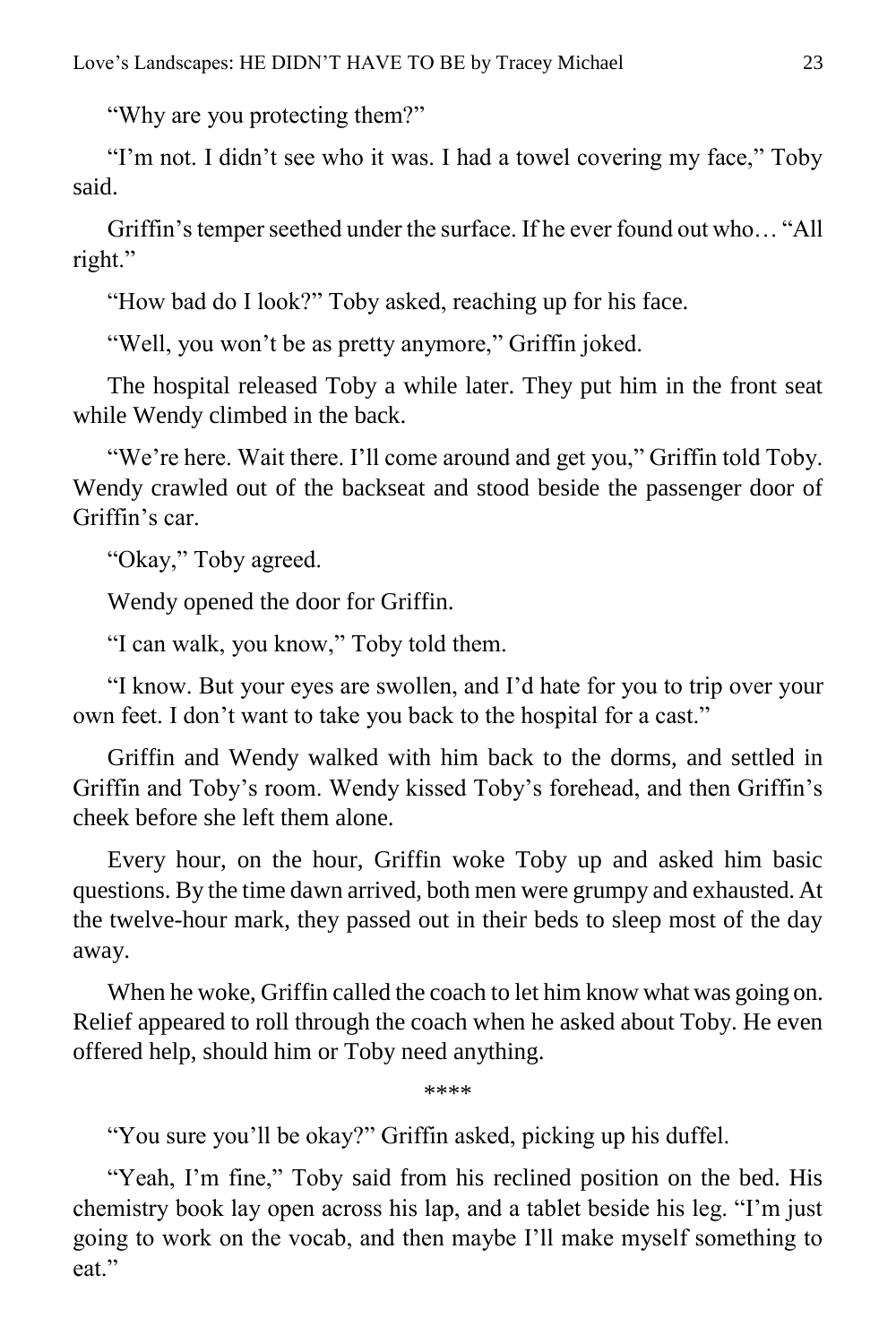"Why are you protecting them?"

"I'm not. I didn't see who it was. I had a towel covering my face," Toby said.

Griffin's temper seethed under the surface. If he ever found out who… "All right."

"How bad do I look?" Toby asked, reaching up for his face.

"Well, you won't be as pretty anymore," Griffin joked.

The hospital released Toby a while later. They put him in the front seat while Wendy climbed in the back.

"We're here. Wait there. I'll come around and get you," Griffin told Toby. Wendy crawled out of the backseat and stood beside the passenger door of Griffin's car.

"Okay," Toby agreed.

Wendy opened the door for Griffin.

"I can walk, you know," Toby told them.

"I know. But your eyes are swollen, and I'd hate for you to trip over your own feet. I don't want to take you back to the hospital for a cast."

Griffin and Wendy walked with him back to the dorms, and settled in Griffin and Toby's room. Wendy kissed Toby's forehead, and then Griffin's cheek before she left them alone.

Every hour, on the hour, Griffin woke Toby up and asked him basic questions. By the time dawn arrived, both men were grumpy and exhausted. At the twelve-hour mark, they passed out in their beds to sleep most of the day away.

When he woke, Griffin called the coach to let him know what was going on. Relief appeared to roll through the coach when he asked about Toby. He even offered help, should him or Toby need anything.

\*\*\*\*

"You sure you'll be okay?" Griffin asked, picking up his duffel.

"Yeah, I'm fine," Toby said from his reclined position on the bed. His chemistry book lay open across his lap, and a tablet beside his leg. "I'm just going to work on the vocab, and then maybe I'll make myself something to eat."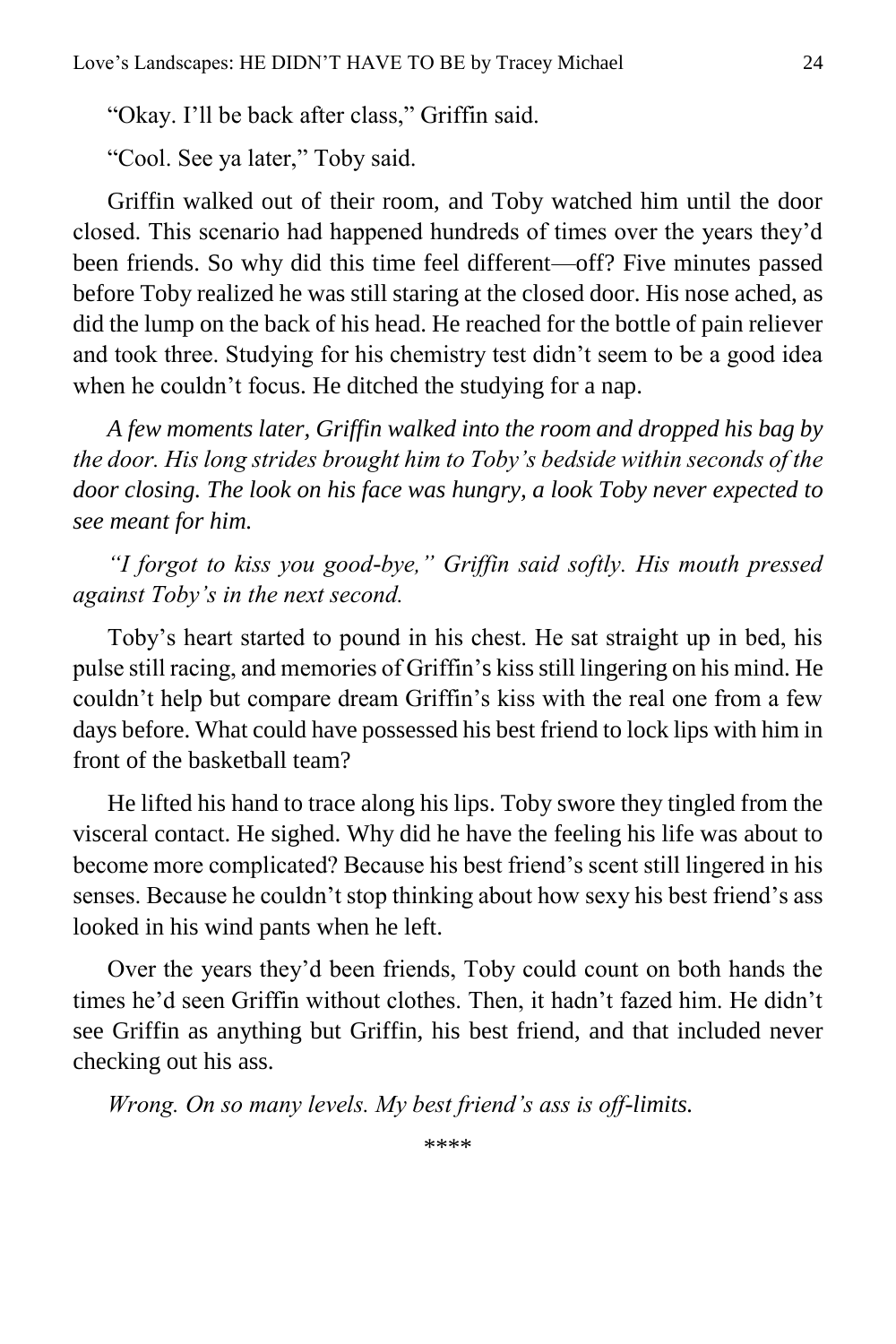"Okay. I'll be back after class," Griffin said.

"Cool. See ya later," Toby said.

Griffin walked out of their room, and Toby watched him until the door closed. This scenario had happened hundreds of times over the years they'd been friends. So why did this time feel different—off? Five minutes passed before Toby realized he was still staring at the closed door. His nose ached, as did the lump on the back of his head. He reached for the bottle of pain reliever and took three. Studying for his chemistry test didn't seem to be a good idea when he couldn't focus. He ditched the studying for a nap.

*A few moments later, Griffin walked into the room and dropped his bag by the door. His long strides brought him to Toby's bedside within seconds of the door closing. The look on his face was hungry, a look Toby never expected to see meant for him.*

*"I forgot to kiss you good-bye," Griffin said softly. His mouth pressed against Toby's in the next second.*

Toby's heart started to pound in his chest. He sat straight up in bed, his pulse still racing, and memories of Griffin's kiss still lingering on his mind. He couldn't help but compare dream Griffin's kiss with the real one from a few days before. What could have possessed his best friend to lock lips with him in front of the basketball team?

He lifted his hand to trace along his lips. Toby swore they tingled from the visceral contact. He sighed. Why did he have the feeling his life was about to become more complicated? Because his best friend's scent still lingered in his senses. Because he couldn't stop thinking about how sexy his best friend's ass looked in his wind pants when he left.

Over the years they'd been friends, Toby could count on both hands the times he'd seen Griffin without clothes. Then, it hadn't fazed him. He didn't see Griffin as anything but Griffin, his best friend, and that included never checking out his ass.

*Wrong. On so many levels. My best friend's ass is off-limits.*

\*\*\*\*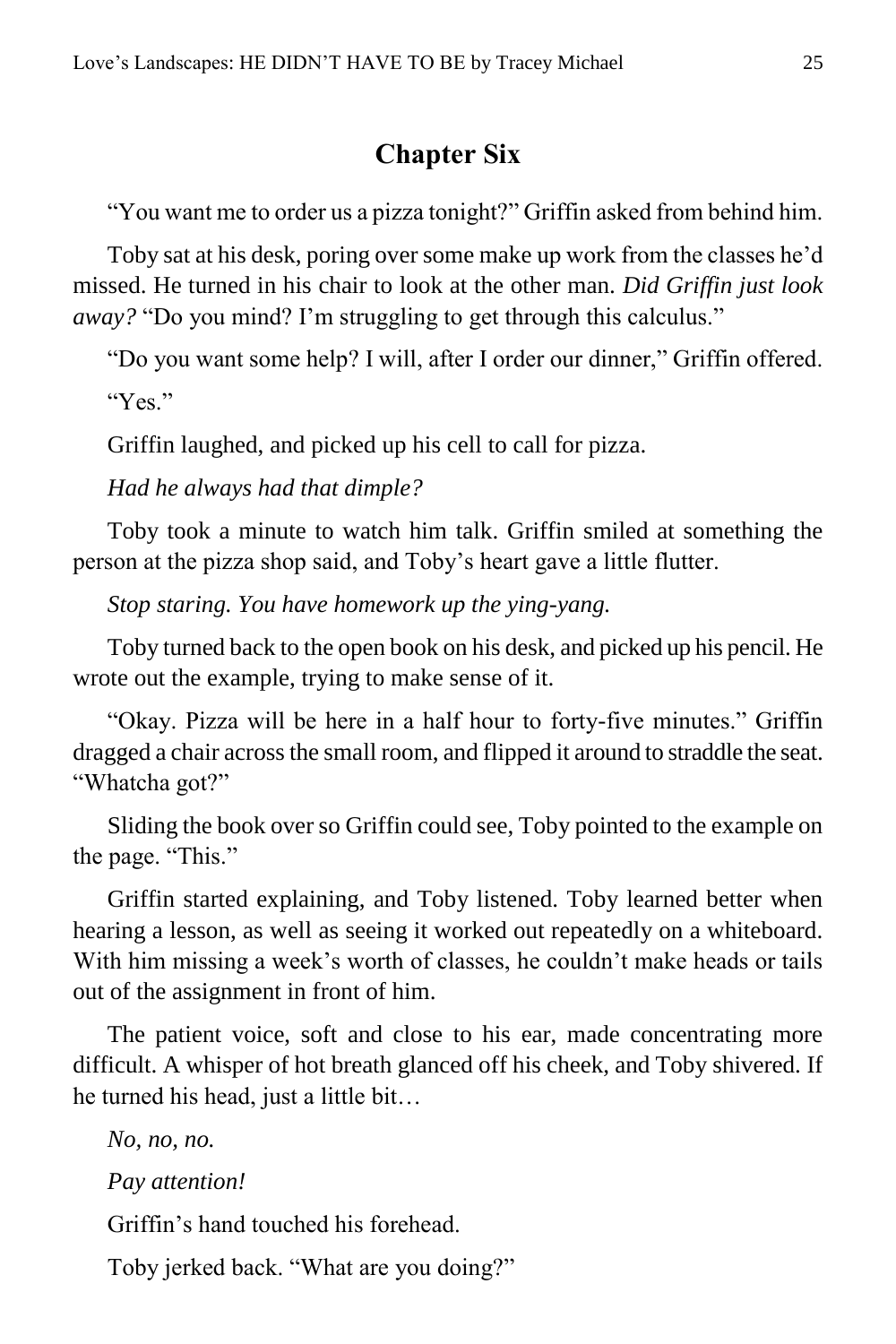### **Chapter Six**

<span id="page-24-0"></span>"You want me to order us a pizza tonight?" Griffin asked from behind him.

Toby sat at his desk, poring over some make up work from the classes he'd missed. He turned in his chair to look at the other man. *Did Griffin just look away?* "Do you mind? I'm struggling to get through this calculus."

"Do you want some help? I will, after I order our dinner," Griffin offered.

"Yes."

Griffin laughed, and picked up his cell to call for pizza.

*Had he always had that dimple?*

Toby took a minute to watch him talk. Griffin smiled at something the person at the pizza shop said, and Toby's heart gave a little flutter.

*Stop staring. You have homework up the ying-yang.*

Toby turned back to the open book on his desk, and picked up his pencil. He wrote out the example, trying to make sense of it.

"Okay. Pizza will be here in a half hour to forty-five minutes." Griffin dragged a chair across the small room, and flipped it around to straddle the seat. "Whatcha got?"

Sliding the book over so Griffin could see, Toby pointed to the example on the page. "This."

Griffin started explaining, and Toby listened. Toby learned better when hearing a lesson, as well as seeing it worked out repeatedly on a whiteboard. With him missing a week's worth of classes, he couldn't make heads or tails out of the assignment in front of him.

The patient voice, soft and close to his ear, made concentrating more difficult. A whisper of hot breath glanced off his cheek, and Toby shivered. If he turned his head, just a little bit…

*No, no, no.*

*Pay attention!*

Griffin's hand touched his forehead.

Toby jerked back. "What are you doing?"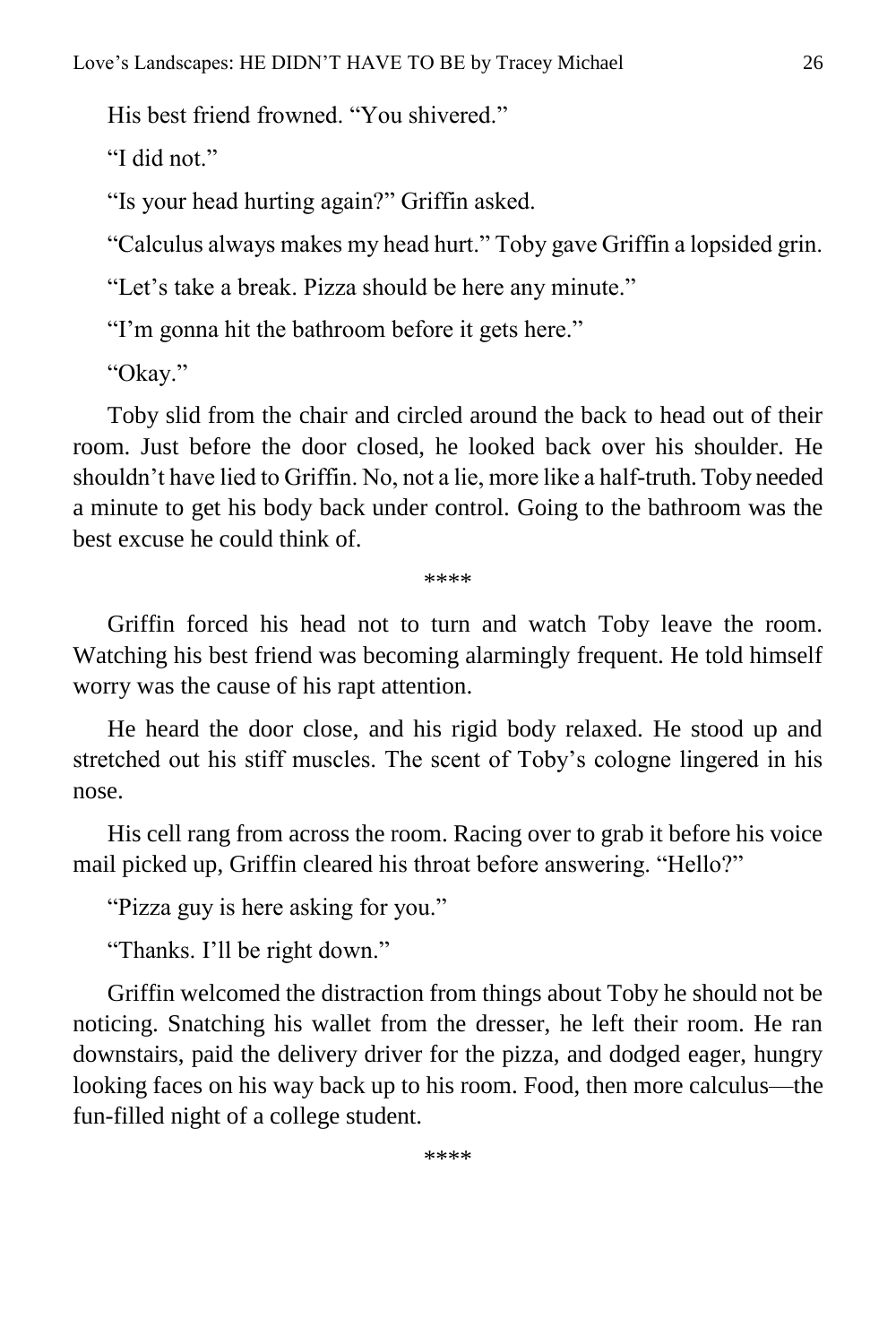His best friend frowned. "You shivered."

"I did not"

"Is your head hurting again?" Griffin asked.

"Calculus always makes my head hurt." Toby gave Griffin a lopsided grin.

"Let's take a break. Pizza should be here any minute."

"I'm gonna hit the bathroom before it gets here."

"Okay."

Toby slid from the chair and circled around the back to head out of their room. Just before the door closed, he looked back over his shoulder. He shouldn't have lied to Griffin. No, not a lie, more like a half-truth. Toby needed a minute to get his body back under control. Going to the bathroom was the best excuse he could think of.

\*\*\*\*

Griffin forced his head not to turn and watch Toby leave the room. Watching his best friend was becoming alarmingly frequent. He told himself worry was the cause of his rapt attention.

He heard the door close, and his rigid body relaxed. He stood up and stretched out his stiff muscles. The scent of Toby's cologne lingered in his nose.

His cell rang from across the room. Racing over to grab it before his voice mail picked up, Griffin cleared his throat before answering. "Hello?"

"Pizza guy is here asking for you."

"Thanks. I'll be right down."

Griffin welcomed the distraction from things about Toby he should not be noticing. Snatching his wallet from the dresser, he left their room. He ran downstairs, paid the delivery driver for the pizza, and dodged eager, hungry looking faces on his way back up to his room. Food, then more calculus—the fun-filled night of a college student.

\*\*\*\*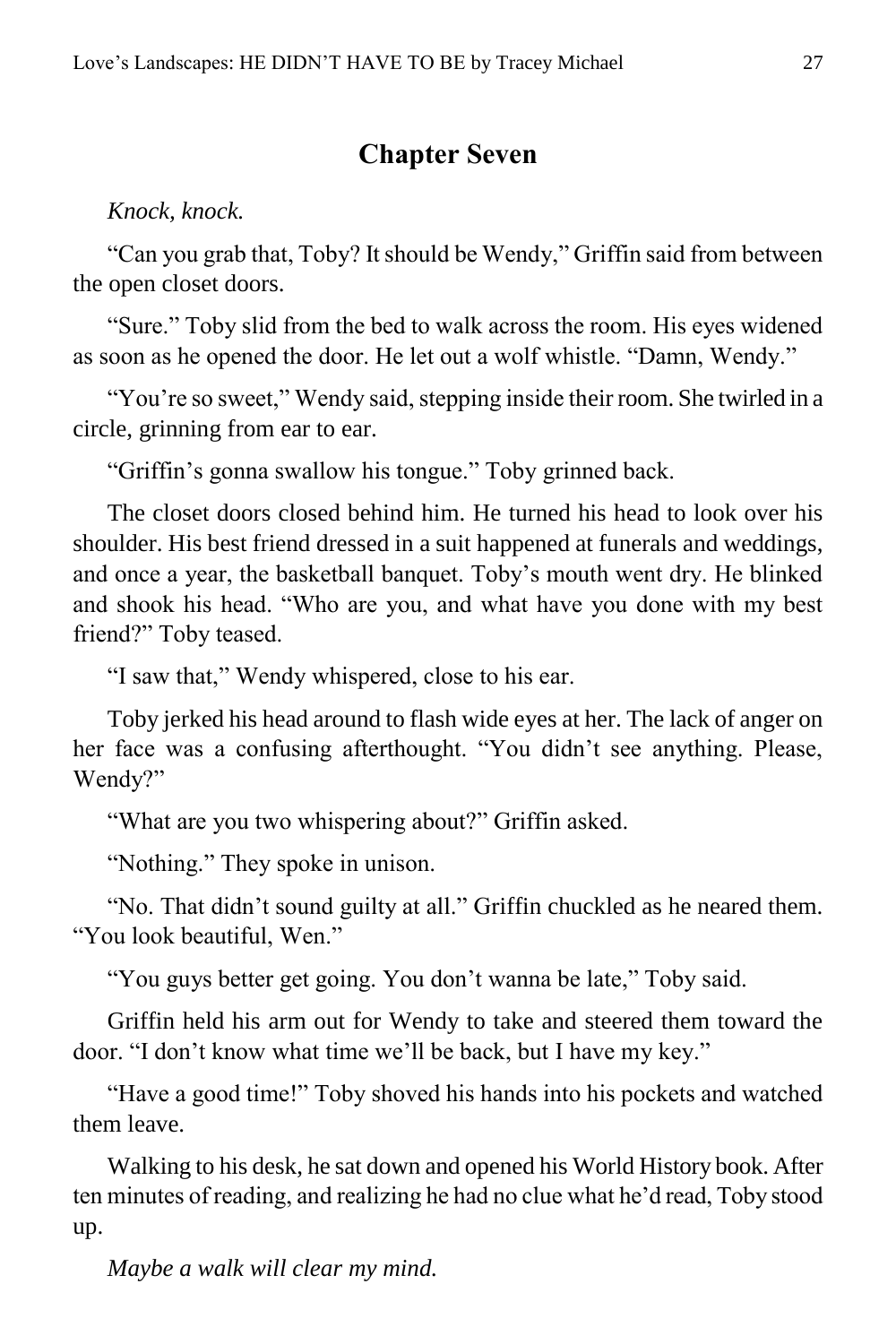#### **Chapter Seven**

<span id="page-26-0"></span>*Knock, knock.*

"Can you grab that, Toby? It should be Wendy," Griffin said from between the open closet doors.

"Sure." Toby slid from the bed to walk across the room. His eyes widened as soon as he opened the door. He let out a wolf whistle. "Damn, Wendy."

"You're so sweet," Wendy said, stepping inside their room. She twirled in a circle, grinning from ear to ear.

"Griffin's gonna swallow his tongue." Toby grinned back.

The closet doors closed behind him. He turned his head to look over his shoulder. His best friend dressed in a suit happened at funerals and weddings, and once a year, the basketball banquet. Toby's mouth went dry. He blinked and shook his head. "Who are you, and what have you done with my best friend?" Toby teased.

"I saw that," Wendy whispered, close to his ear.

Toby jerked his head around to flash wide eyes at her. The lack of anger on her face was a confusing afterthought. "You didn't see anything. Please, Wendy?"

"What are you two whispering about?" Griffin asked.

"Nothing." They spoke in unison.

"No. That didn't sound guilty at all." Griffin chuckled as he neared them. "You look beautiful, Wen."

"You guys better get going. You don't wanna be late," Toby said.

Griffin held his arm out for Wendy to take and steered them toward the door. "I don't know what time we'll be back, but I have my key."

"Have a good time!" Toby shoved his hands into his pockets and watched them leave.

Walking to his desk, he sat down and opened his World History book. After ten minutes of reading, and realizing he had no clue what he'd read, Toby stood up.

*Maybe a walk will clear my mind.*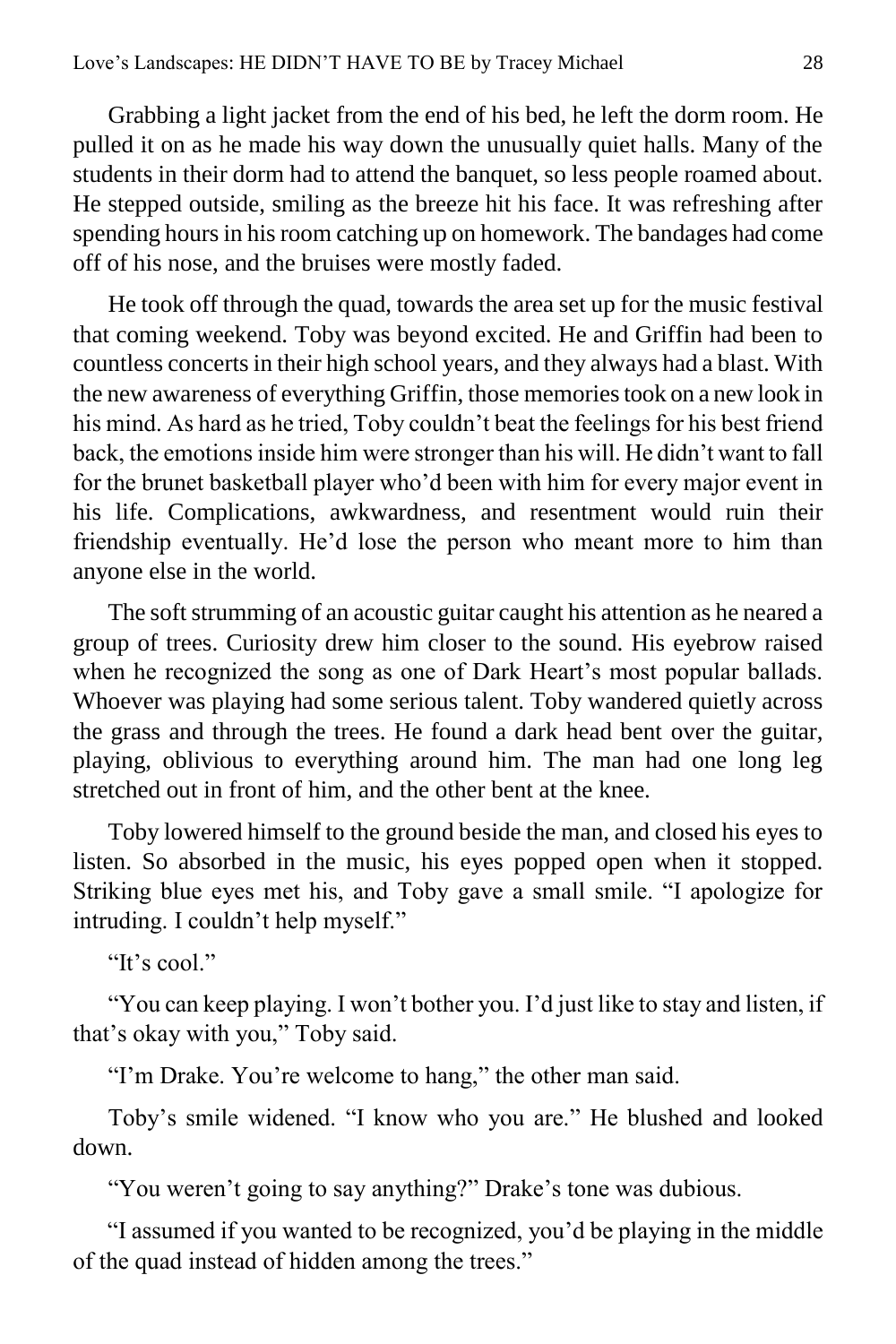Grabbing a light jacket from the end of his bed, he left the dorm room. He pulled it on as he made his way down the unusually quiet halls. Many of the students in their dorm had to attend the banquet, so less people roamed about. He stepped outside, smiling as the breeze hit his face. It was refreshing after spending hours in his room catching up on homework. The bandages had come off of his nose, and the bruises were mostly faded.

He took off through the quad, towards the area set up for the music festival that coming weekend. Toby was beyond excited. He and Griffin had been to countless concerts in their high school years, and they always had a blast. With the new awareness of everything Griffin, those memories took on a new look in his mind. As hard as he tried, Toby couldn't beat the feelings for his best friend back, the emotions inside him were stronger than his will. He didn't want to fall for the brunet basketball player who'd been with him for every major event in his life. Complications, awkwardness, and resentment would ruin their friendship eventually. He'd lose the person who meant more to him than anyone else in the world.

The soft strumming of an acoustic guitar caught his attention as he neared a group of trees. Curiosity drew him closer to the sound. His eyebrow raised when he recognized the song as one of Dark Heart's most popular ballads. Whoever was playing had some serious talent. Toby wandered quietly across the grass and through the trees. He found a dark head bent over the guitar, playing, oblivious to everything around him. The man had one long leg stretched out in front of him, and the other bent at the knee.

Toby lowered himself to the ground beside the man, and closed his eyes to listen. So absorbed in the music, his eyes popped open when it stopped. Striking blue eyes met his, and Toby gave a small smile. "I apologize for intruding. I couldn't help myself."

"It's cool."

"You can keep playing. I won't bother you. I'd just like to stay and listen, if that's okay with you," Toby said.

"I'm Drake. You're welcome to hang," the other man said.

Toby's smile widened. "I know who you are." He blushed and looked down.

"You weren't going to say anything?" Drake's tone was dubious.

"I assumed if you wanted to be recognized, you'd be playing in the middle of the quad instead of hidden among the trees."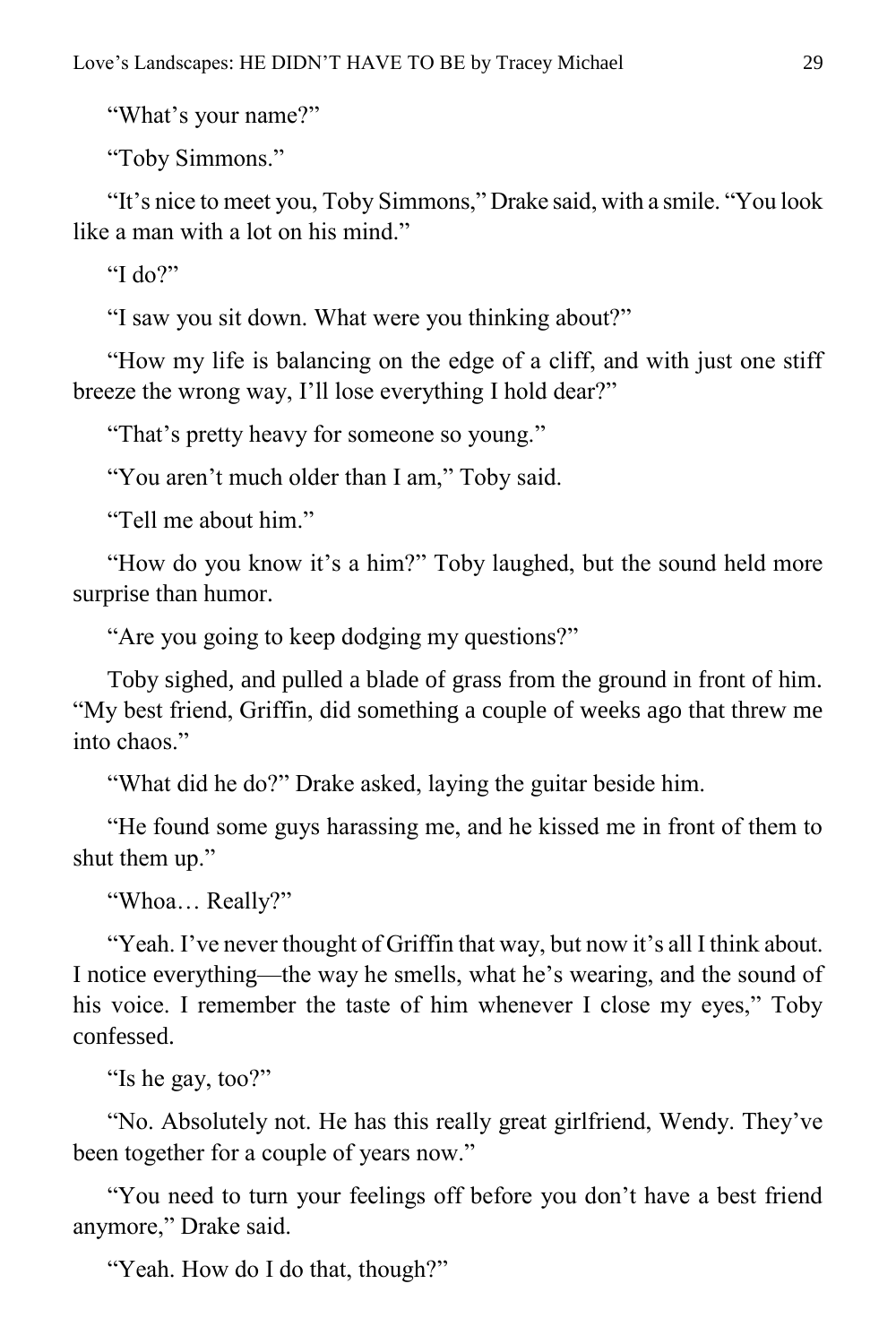"What's your name?"

"Toby Simmons."

"It's nice to meet you, Toby Simmons," Drake said, with a smile. "You look like a man with a lot on his mind."

"I do?"

"I saw you sit down. What were you thinking about?"

"How my life is balancing on the edge of a cliff, and with just one stiff breeze the wrong way, I'll lose everything I hold dear?"

"That's pretty heavy for someone so young."

"You aren't much older than I am," Toby said.

"Tell me about him"

"How do you know it's a him?" Toby laughed, but the sound held more surprise than humor.

"Are you going to keep dodging my questions?"

Toby sighed, and pulled a blade of grass from the ground in front of him. "My best friend, Griffin, did something a couple of weeks ago that threw me into chaos"

"What did he do?" Drake asked, laying the guitar beside him.

"He found some guys harassing me, and he kissed me in front of them to shut them up."

"Whoa… Really?"

"Yeah. I've never thought of Griffin that way, but now it's all I think about. I notice everything—the way he smells, what he's wearing, and the sound of his voice. I remember the taste of him whenever I close my eyes," Toby confessed.

"Is he gay, too?"

"No. Absolutely not. He has this really great girlfriend, Wendy. They've been together for a couple of years now."

"You need to turn your feelings off before you don't have a best friend anymore," Drake said.

"Yeah. How do I do that, though?"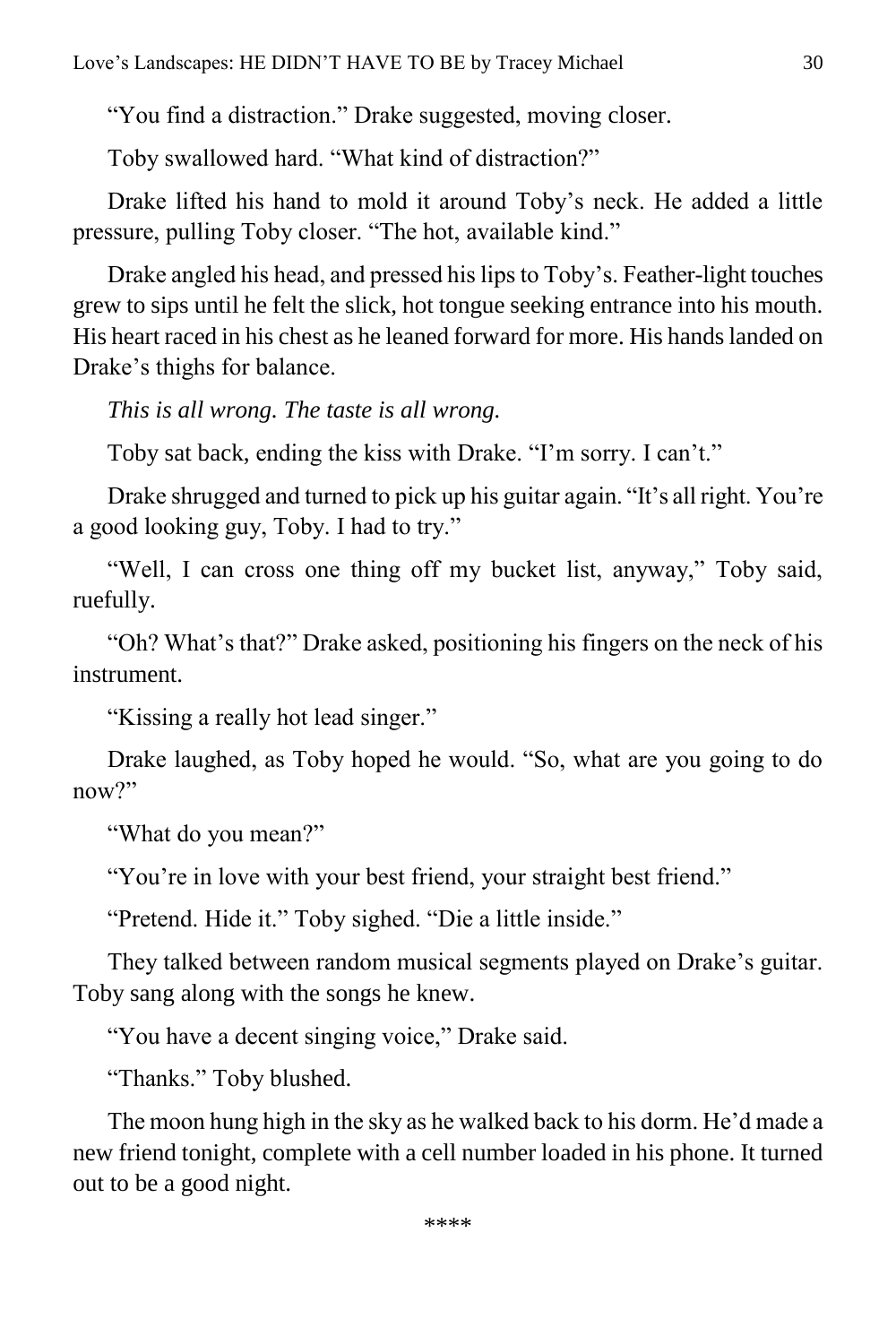"You find a distraction." Drake suggested, moving closer.

Toby swallowed hard. "What kind of distraction?"

Drake lifted his hand to mold it around Toby's neck. He added a little pressure, pulling Toby closer. "The hot, available kind."

Drake angled his head, and pressed his lips to Toby's. Feather-light touches grew to sips until he felt the slick, hot tongue seeking entrance into his mouth. His heart raced in his chest as he leaned forward for more. His hands landed on Drake's thighs for balance.

*This is all wrong. The taste is all wrong.*

Toby sat back, ending the kiss with Drake. "I'm sorry. I can't."

Drake shrugged and turned to pick up his guitar again. "It's all right. You're a good looking guy, Toby. I had to try."

"Well, I can cross one thing off my bucket list, anyway," Toby said, ruefully.

"Oh? What's that?" Drake asked, positioning his fingers on the neck of his instrument.

"Kissing a really hot lead singer."

Drake laughed, as Toby hoped he would. "So, what are you going to do now?"

"What do you mean?"

"You're in love with your best friend, your straight best friend."

"Pretend. Hide it." Toby sighed. "Die a little inside."

They talked between random musical segments played on Drake's guitar. Toby sang along with the songs he knew.

"You have a decent singing voice," Drake said.

"Thanks." Toby blushed.

The moon hung high in the sky as he walked back to his dorm. He'd made a new friend tonight, complete with a cell number loaded in his phone. It turned out to be a good night.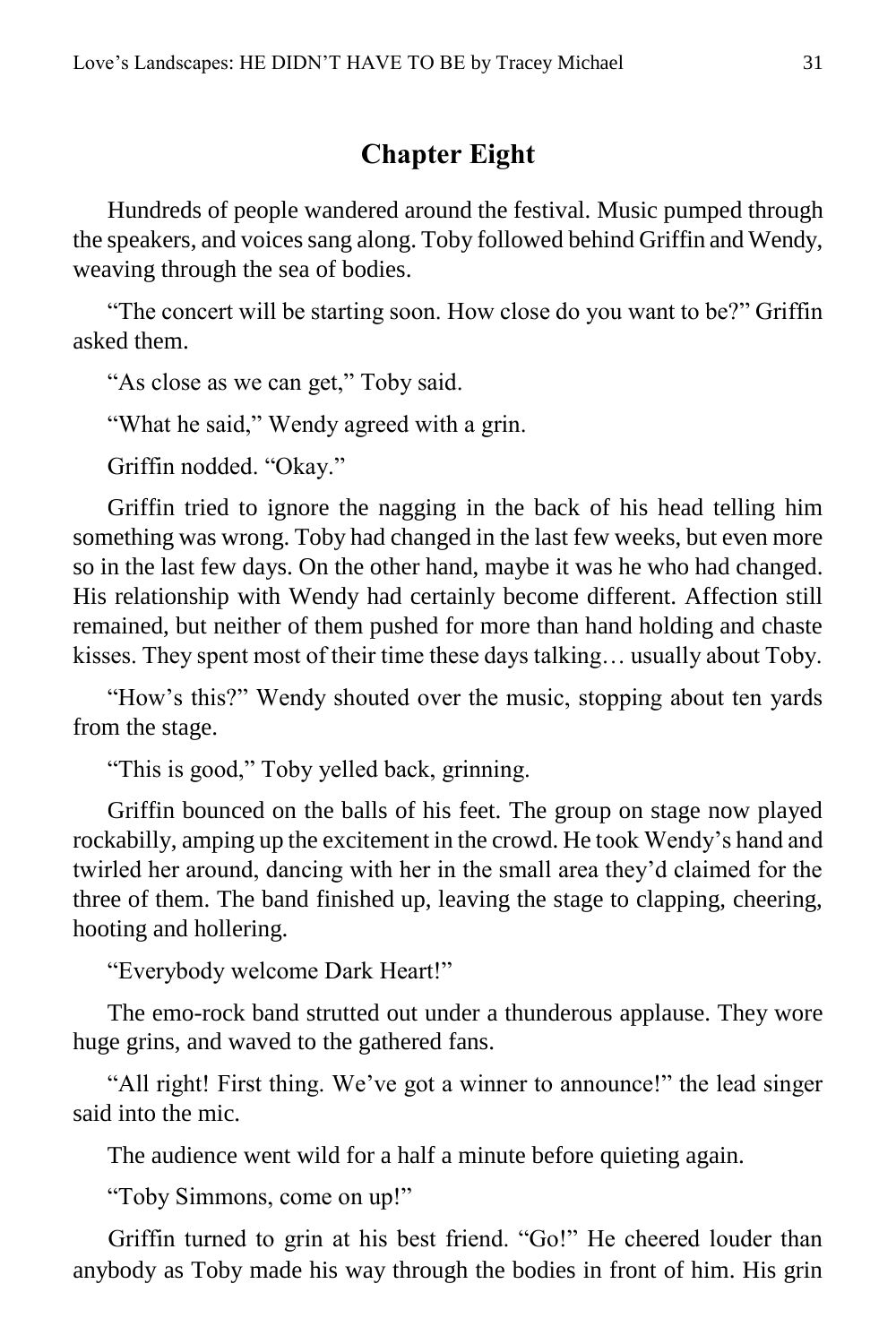### **Chapter Eight**

<span id="page-30-0"></span>Hundreds of people wandered around the festival. Music pumped through the speakers, and voices sang along. Toby followed behind Griffin and Wendy, weaving through the sea of bodies.

"The concert will be starting soon. How close do you want to be?" Griffin asked them.

"As close as we can get," Toby said.

"What he said," Wendy agreed with a grin.

Griffin nodded. "Okay."

Griffin tried to ignore the nagging in the back of his head telling him something was wrong. Toby had changed in the last few weeks, but even more so in the last few days. On the other hand, maybe it was he who had changed. His relationship with Wendy had certainly become different. Affection still remained, but neither of them pushed for more than hand holding and chaste kisses. They spent most of their time these days talking… usually about Toby.

"How's this?" Wendy shouted over the music, stopping about ten yards from the stage.

"This is good," Toby yelled back, grinning.

Griffin bounced on the balls of his feet. The group on stage now played rockabilly, amping up the excitement in the crowd. He took Wendy's hand and twirled her around, dancing with her in the small area they'd claimed for the three of them. The band finished up, leaving the stage to clapping, cheering, hooting and hollering.

"Everybody welcome Dark Heart!"

The emo-rock band strutted out under a thunderous applause. They wore huge grins, and waved to the gathered fans.

"All right! First thing. We've got a winner to announce!" the lead singer said into the mic.

The audience went wild for a half a minute before quieting again.

"Toby Simmons, come on up!"

Griffin turned to grin at his best friend. "Go!" He cheered louder than anybody as Toby made his way through the bodies in front of him. His grin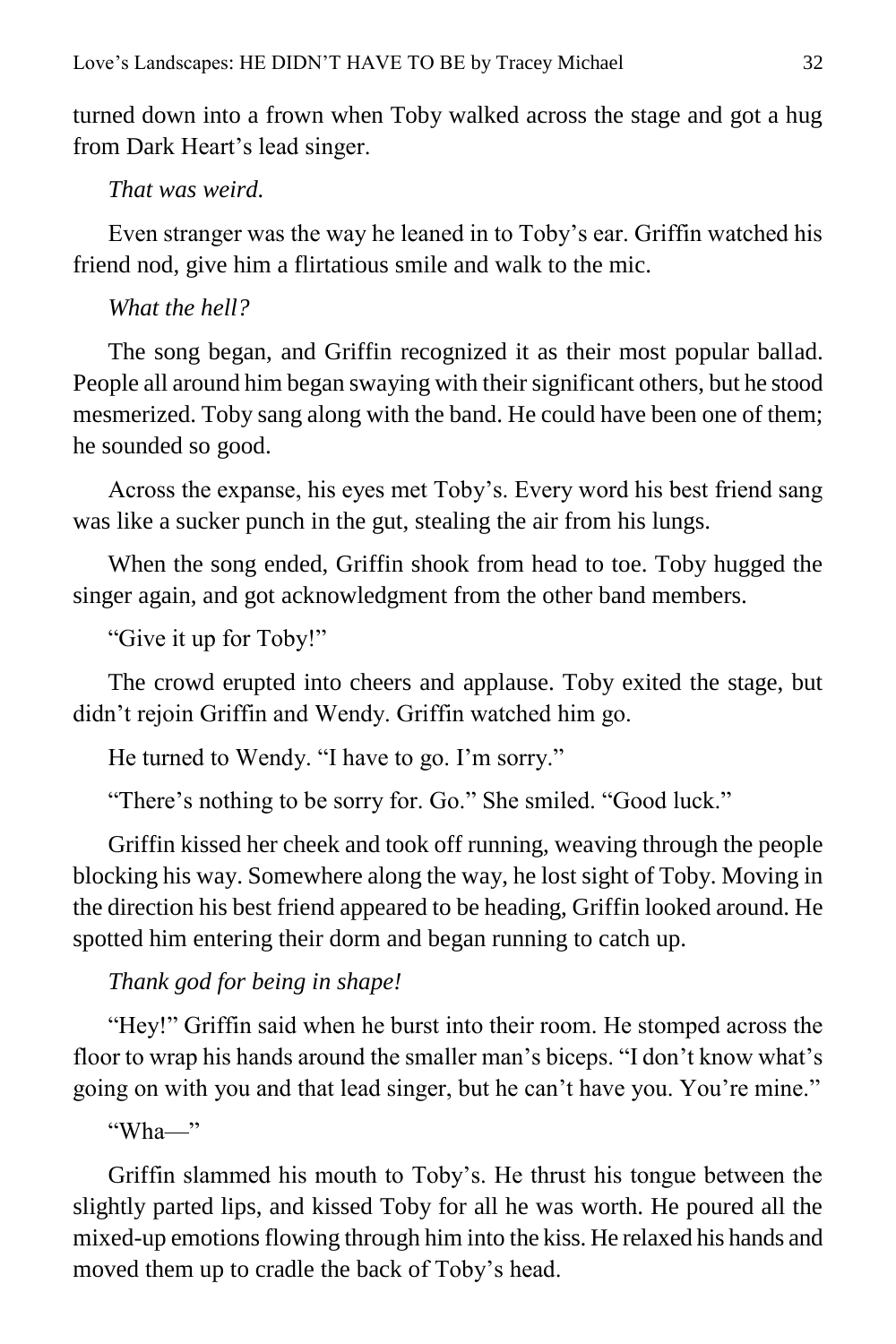turned down into a frown when Toby walked across the stage and got a hug from Dark Heart's lead singer.

#### *That was weird.*

Even stranger was the way he leaned in to Toby's ear. Griffin watched his friend nod, give him a flirtatious smile and walk to the mic.

#### *What the hell?*

The song began, and Griffin recognized it as their most popular ballad. People all around him began swaying with their significant others, but he stood mesmerized. Toby sang along with the band. He could have been one of them; he sounded so good.

Across the expanse, his eyes met Toby's. Every word his best friend sang was like a sucker punch in the gut, stealing the air from his lungs.

When the song ended, Griffin shook from head to toe. Toby hugged the singer again, and got acknowledgment from the other band members.

"Give it up for Toby!"

The crowd erupted into cheers and applause. Toby exited the stage, but didn't rejoin Griffin and Wendy. Griffin watched him go.

He turned to Wendy. "I have to go. I'm sorry."

"There's nothing to be sorry for. Go." She smiled. "Good luck."

Griffin kissed her cheek and took off running, weaving through the people blocking his way. Somewhere along the way, he lost sight of Toby. Moving in the direction his best friend appeared to be heading, Griffin looked around. He spotted him entering their dorm and began running to catch up.

#### *Thank god for being in shape!*

"Hey!" Griffin said when he burst into their room. He stomped across the floor to wrap his hands around the smaller man's biceps. "I don't know what's going on with you and that lead singer, but he can't have you. You're mine."

"Wha—"

Griffin slammed his mouth to Toby's. He thrust his tongue between the slightly parted lips, and kissed Toby for all he was worth. He poured all the mixed-up emotions flowing through him into the kiss. He relaxed his hands and moved them up to cradle the back of Toby's head.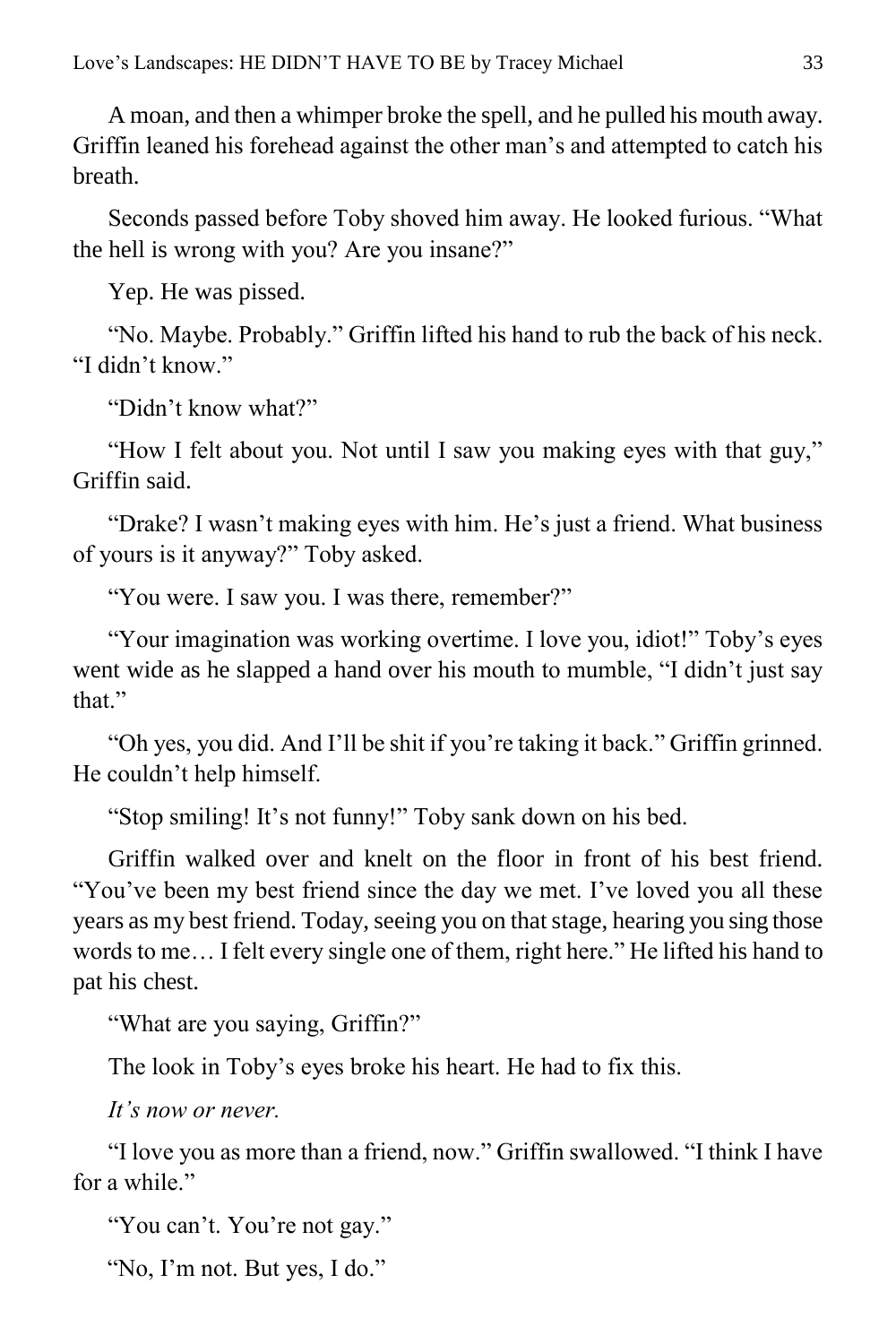A moan, and then a whimper broke the spell, and he pulled his mouth away. Griffin leaned his forehead against the other man's and attempted to catch his breath.

Seconds passed before Toby shoved him away. He looked furious. "What the hell is wrong with you? Are you insane?"

Yep. He was pissed.

"No. Maybe. Probably." Griffin lifted his hand to rub the back of his neck. "I didn't know"

"Didn't know what?"

"How I felt about you. Not until I saw you making eyes with that guy," Griffin said.

"Drake? I wasn't making eyes with him. He's just a friend. What business of yours is it anyway?" Toby asked.

"You were. I saw you. I was there, remember?"

"Your imagination was working overtime. I love you, idiot!" Toby's eyes went wide as he slapped a hand over his mouth to mumble, "I didn't just say that."

"Oh yes, you did. And I'll be shit if you're taking it back." Griffin grinned. He couldn't help himself.

"Stop smiling! It's not funny!" Toby sank down on his bed.

Griffin walked over and knelt on the floor in front of his best friend. "You've been my best friend since the day we met. I've loved you all these years as my best friend. Today, seeing you on that stage, hearing you sing those words to me… I felt every single one of them, right here." He lifted his hand to pat his chest.

"What are you saying, Griffin?"

The look in Toby's eyes broke his heart. He had to fix this.

*It's now or never.*

"I love you as more than a friend, now." Griffin swallowed. "I think I have for a while."

"You can't. You're not gay."

"No, I'm not. But yes, I do."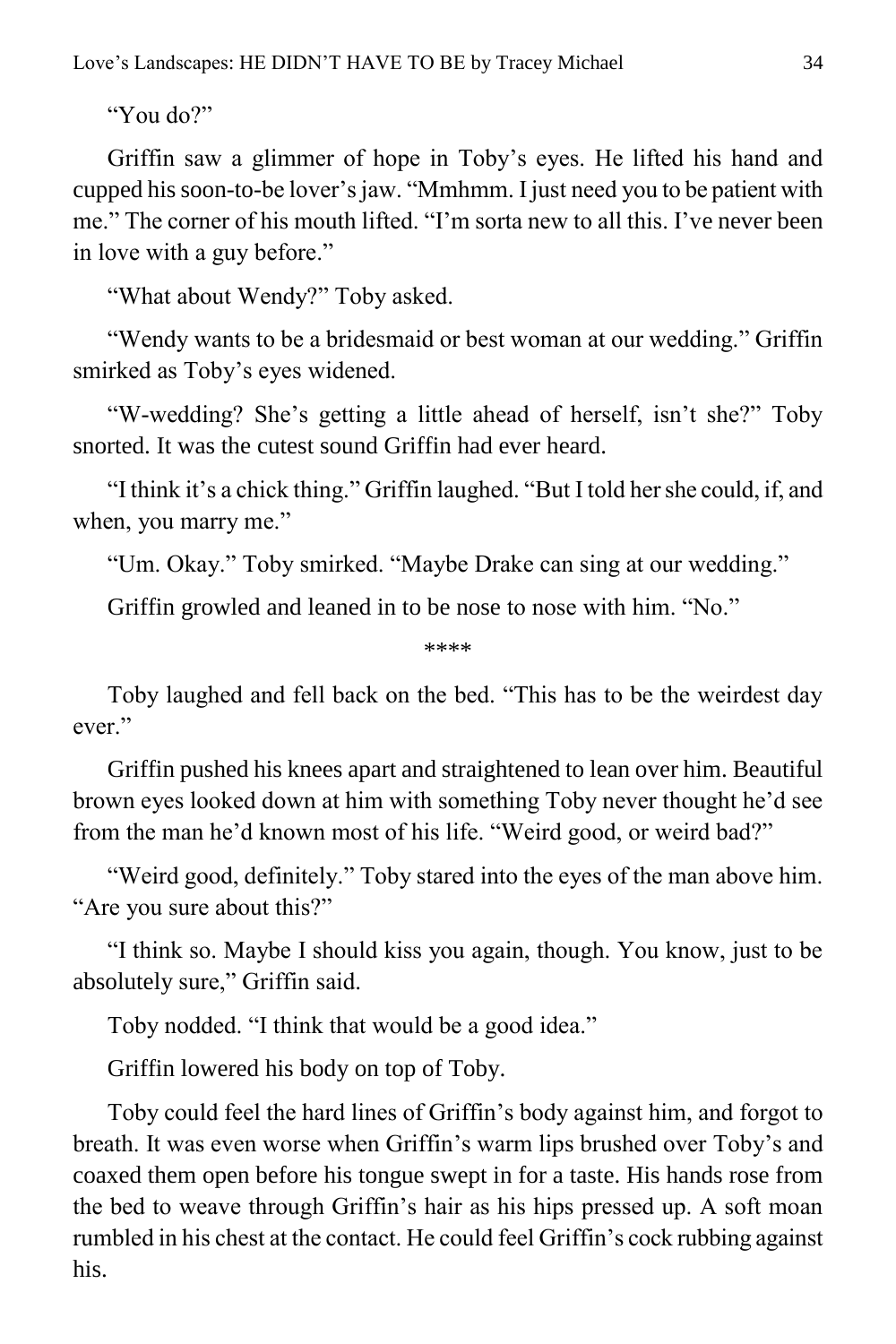"You do?"

Griffin saw a glimmer of hope in Toby's eyes. He lifted his hand and cupped his soon-to-be lover's jaw. "Mmhmm. I just need you to be patient with me." The corner of his mouth lifted. "I'm sorta new to all this. I've never been in love with a guy before."

"What about Wendy?" Toby asked.

"Wendy wants to be a bridesmaid or best woman at our wedding." Griffin smirked as Toby's eyes widened.

"W-wedding? She's getting a little ahead of herself, isn't she?" Toby snorted. It was the cutest sound Griffin had ever heard.

"I think it's a chick thing." Griffin laughed. "But I told her she could, if, and when, you marry me."

"Um. Okay." Toby smirked. "Maybe Drake can sing at our wedding."

Griffin growled and leaned in to be nose to nose with him. "No."

\*\*\*\*

Toby laughed and fell back on the bed. "This has to be the weirdest day ever."

Griffin pushed his knees apart and straightened to lean over him. Beautiful brown eyes looked down at him with something Toby never thought he'd see from the man he'd known most of his life. "Weird good, or weird bad?"

"Weird good, definitely." Toby stared into the eyes of the man above him. "Are you sure about this?"

"I think so. Maybe I should kiss you again, though. You know, just to be absolutely sure," Griffin said.

Toby nodded. "I think that would be a good idea."

Griffin lowered his body on top of Toby.

Toby could feel the hard lines of Griffin's body against him, and forgot to breath. It was even worse when Griffin's warm lips brushed over Toby's and coaxed them open before his tongue swept in for a taste. His hands rose from the bed to weave through Griffin's hair as his hips pressed up. A soft moan rumbled in his chest at the contact. He could feel Griffin's cock rubbing against his.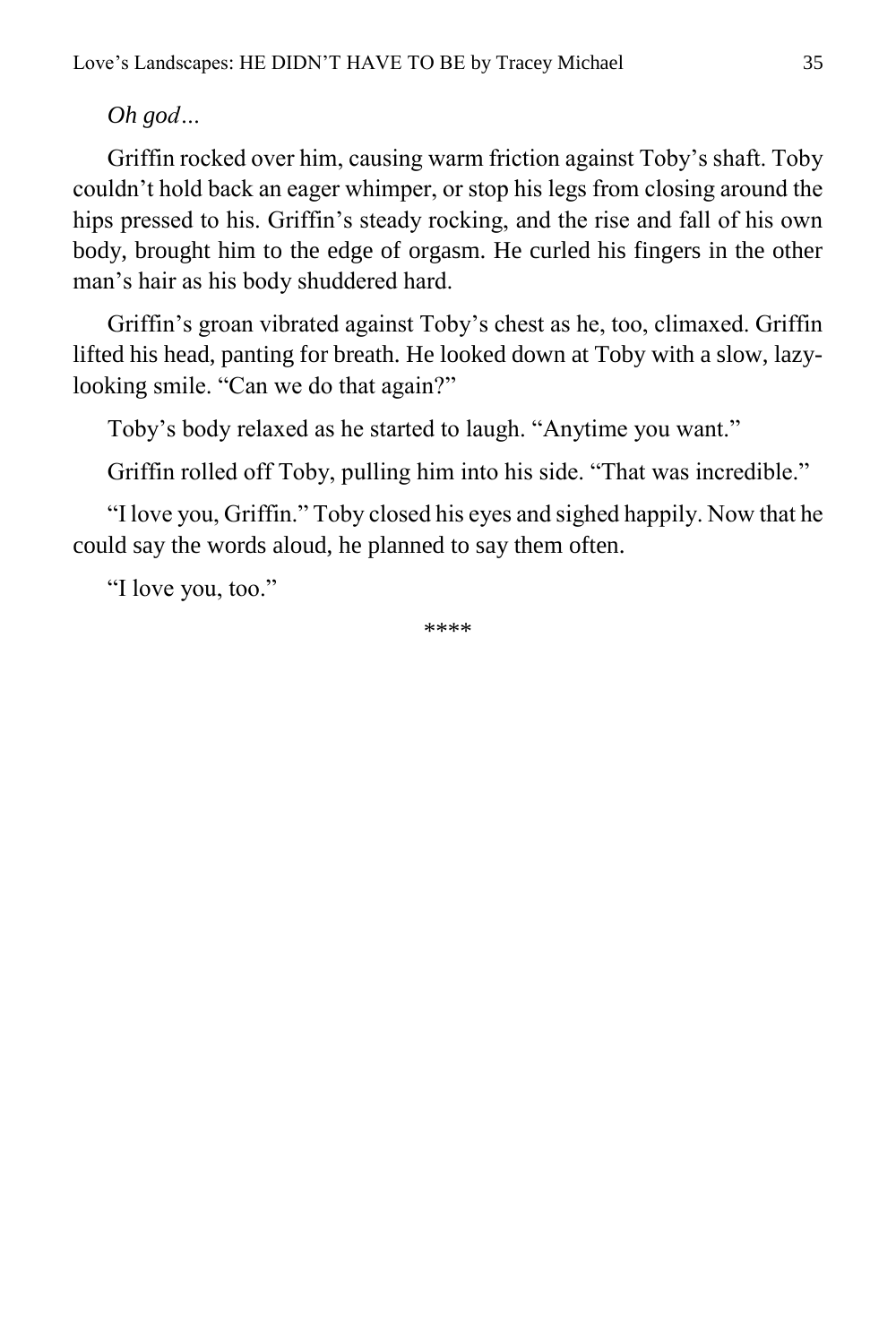*Oh god…*

Griffin rocked over him, causing warm friction against Toby's shaft. Toby couldn't hold back an eager whimper, or stop his legs from closing around the hips pressed to his. Griffin's steady rocking, and the rise and fall of his own body, brought him to the edge of orgasm. He curled his fingers in the other man's hair as his body shuddered hard.

Griffin's groan vibrated against Toby's chest as he, too, climaxed. Griffin lifted his head, panting for breath. He looked down at Toby with a slow, lazylooking smile. "Can we do that again?"

Toby's body relaxed as he started to laugh. "Anytime you want."

Griffin rolled off Toby, pulling him into his side. "That was incredible."

"I love you, Griffin." Toby closed his eyes and sighed happily. Now that he could say the words aloud, he planned to say them often.

"I love you, too."

\*\*\*\*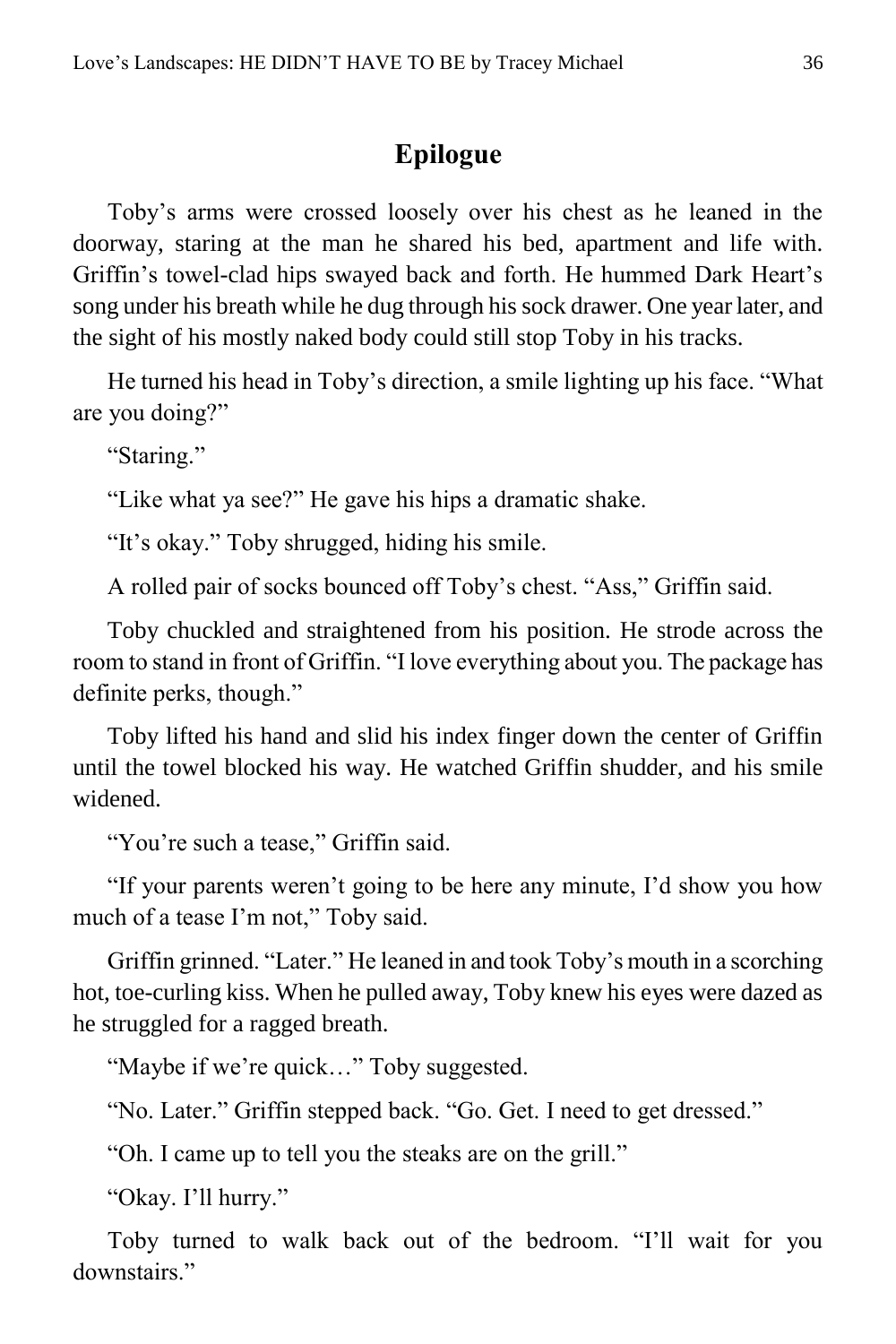### **Epilogue**

<span id="page-35-0"></span>Toby's arms were crossed loosely over his chest as he leaned in the doorway, staring at the man he shared his bed, apartment and life with. Griffin's towel-clad hips swayed back and forth. He hummed Dark Heart's song under his breath while he dug through his sock drawer. One year later, and the sight of his mostly naked body could still stop Toby in his tracks.

He turned his head in Toby's direction, a smile lighting up his face. "What are you doing?"

"Staring."

"Like what ya see?" He gave his hips a dramatic shake.

"It's okay." Toby shrugged, hiding his smile.

A rolled pair of socks bounced off Toby's chest. "Ass," Griffin said.

Toby chuckled and straightened from his position. He strode across the room to stand in front of Griffin. "I love everything about you. The package has definite perks, though."

Toby lifted his hand and slid his index finger down the center of Griffin until the towel blocked his way. He watched Griffin shudder, and his smile widened.

"You're such a tease," Griffin said.

"If your parents weren't going to be here any minute, I'd show you how much of a tease I'm not," Toby said.

Griffin grinned. "Later." He leaned in and took Toby's mouth in a scorching hot, toe-curling kiss. When he pulled away, Toby knew his eyes were dazed as he struggled for a ragged breath.

"Maybe if we're quick…" Toby suggested.

"No. Later." Griffin stepped back. "Go. Get. I need to get dressed."

"Oh. I came up to tell you the steaks are on the grill."

"Okay. I'll hurry."

Toby turned to walk back out of the bedroom. "I'll wait for you downstairs."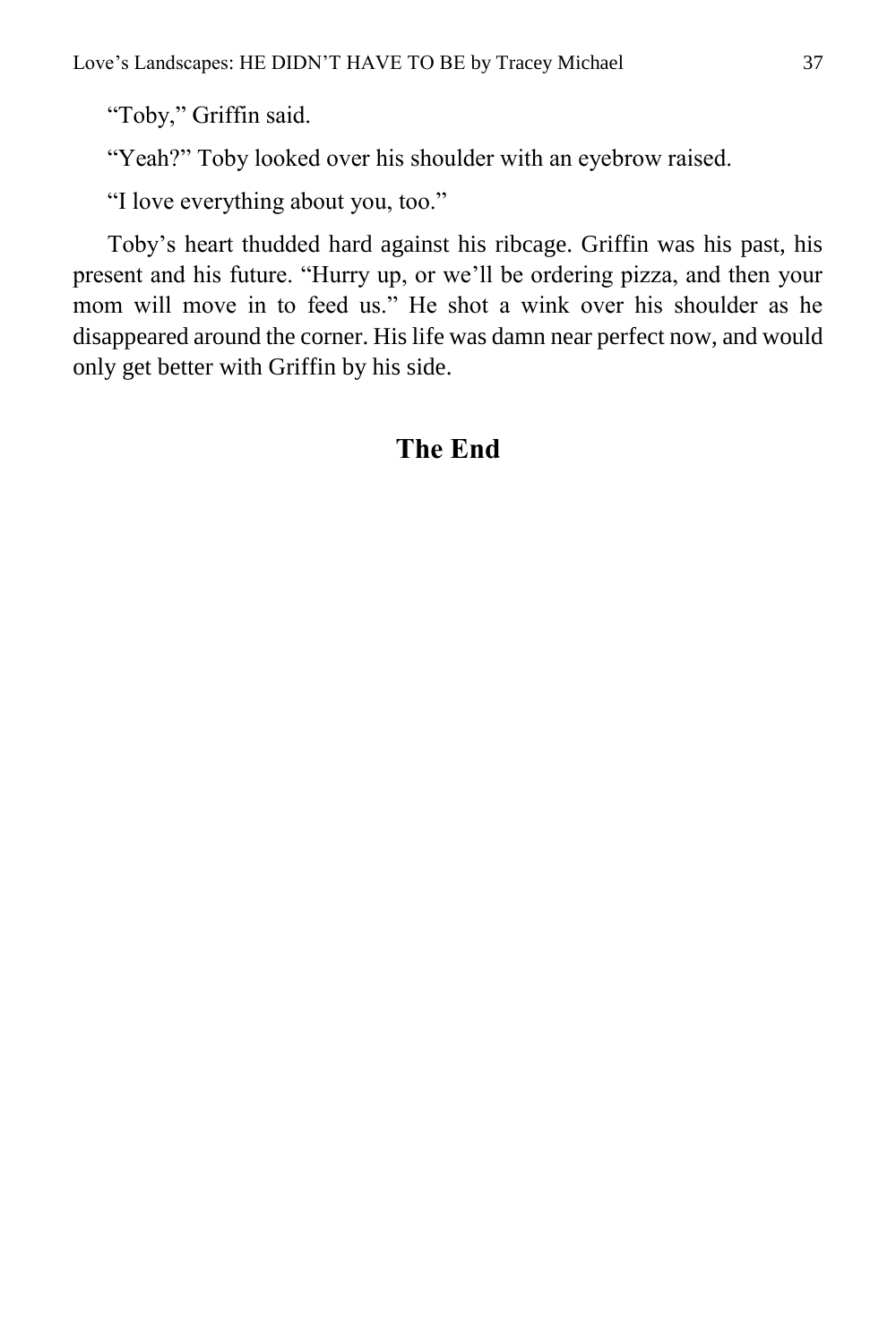"Toby," Griffin said.

"Yeah?" Toby looked over his shoulder with an eyebrow raised.

"I love everything about you, too."

Toby's heart thudded hard against his ribcage. Griffin was his past, his present and his future. "Hurry up, or we'll be ordering pizza, and then your mom will move in to feed us." He shot a wink over his shoulder as he disappeared around the corner. His life was damn near perfect now, and would only get better with Griffin by his side.

#### **The End**